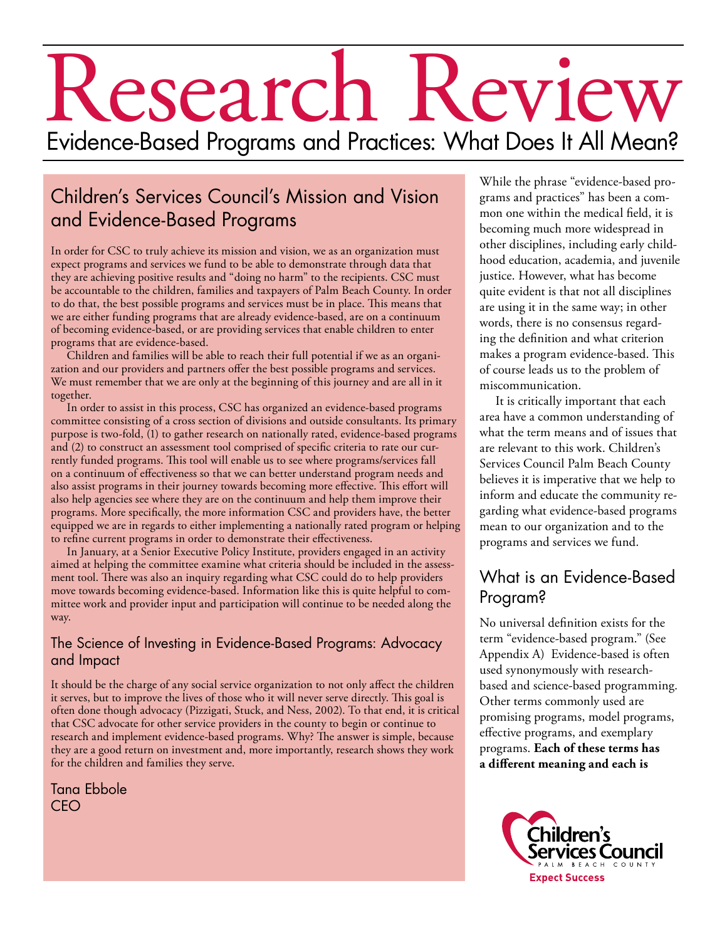# Research Review Evidence-Based Programs and Practices: What Does It All Mean?

# Children's Services Council's Mission and Vision and Evidence-Based Programs

In order for CSC to truly achieve its mission and vision, we as an organization must expect programs and services we fund to be able to demonstrate through data that they are achieving positive results and "doing no harm" to the recipients. CSC must be accountable to the children, families and taxpayers of Palm Beach County. In order to do that, the best possible programs and services must be in place. This means that we are either funding programs that are already evidence-based, are on a continuum of becoming evidence-based, or are providing services that enable children to enter programs that are evidence-based.

Children and families will be able to reach their full potential if we as an organization and our providers and partners offer the best possible programs and services. We must remember that we are only at the beginning of this journey and are all in it together.

In order to assist in this process, CSC has organized an evidence-based programs committee consisting of a cross section of divisions and outside consultants. Its primary purpose is two-fold, (1) to gather research on nationally rated, evidence-based programs and (2) to construct an assessment tool comprised of specific criteria to rate our currently funded programs. This tool will enable us to see where programs/services fall on a continuum of effectiveness so that we can better understand program needs and also assist programs in their journey towards becoming more effective. This effort will also help agencies see where they are on the continuum and help them improve their programs. More specifically, the more information CSC and providers have, the better equipped we are in regards to either implementing a nationally rated program or helping to refine current programs in order to demonstrate their effectiveness.

In January, at a Senior Executive Policy Institute, providers engaged in an activity aimed at helping the committee examine what criteria should be included in the assessment tool. There was also an inquiry regarding what CSC could do to help providers move towards becoming evidence-based. Information like this is quite helpful to committee work and provider input and participation will continue to be needed along the way.

#### The Science of Investing in Evidence-Based Programs: Advocacy and Impact

It should be the charge of any social service organization to not only affect the children it serves, but to improve the lives of those who it will never serve directly. This goal is often done though advocacy (Pizzigati, Stuck, and Ness, 2002). To that end, it is critical that CSC advocate for other service providers in the county to begin or continue to research and implement evidence-based programs. Why? The answer is simple, because they are a good return on investment and, more importantly, research shows they work for the children and families they serve.

Tana Ebbole CEO

While the phrase "evidence-based programs and practices" has been a common one within the medical field, it is becoming much more widespread in other disciplines, including early childhood education, academia, and juvenile justice. However, what has become quite evident is that not all disciplines are using it in the same way; in other words, there is no consensus regarding the definition and what criterion makes a program evidence-based. This of course leads us to the problem of miscommunication.

It is critically important that each area have a common understanding of what the term means and of issues that are relevant to this work. Children's Services Council Palm Beach County believes it is imperative that we help to inform and educate the community regarding what evidence-based programs mean to our organization and to the programs and services we fund.

# What is an Evidence-Based Program?

No universal definition exists for the term "evidence-based program." (See Appendix A) Evidence-based is often used synonymously with researchbased and science-based programming. Other terms commonly used are promising programs, model programs, effective programs, and exemplary programs. **Each of these terms has a different meaning and each is** 

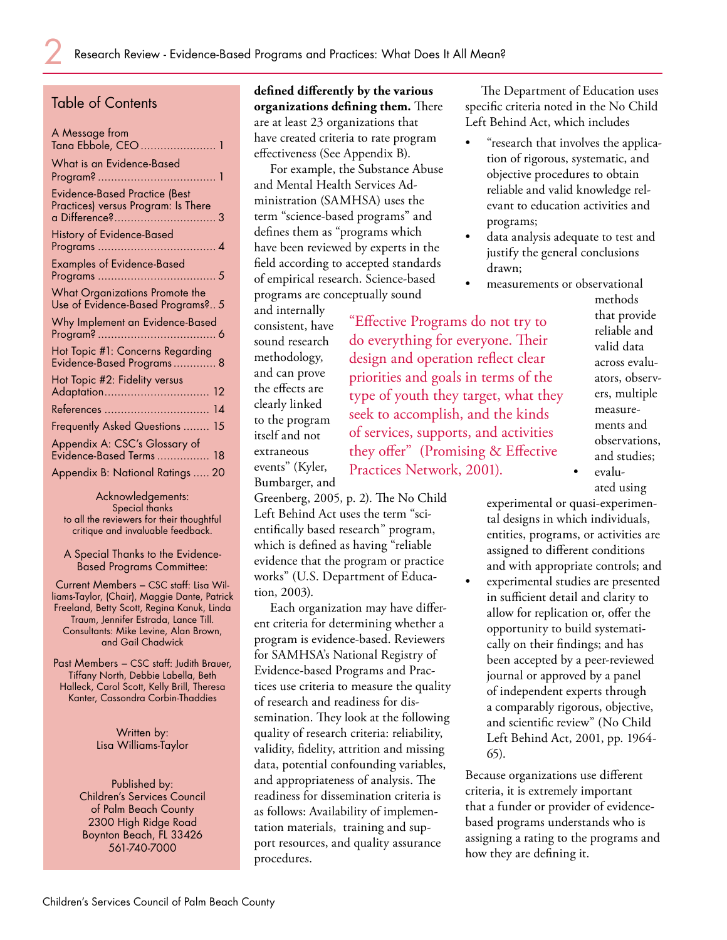#### Table of Contents

| A Message from<br>Tana Ebbole, CEO  1                                       |
|-----------------------------------------------------------------------------|
| What is an Evidence-Based                                                   |
| <b>Evidence-Based Practice (Best</b><br>Practices) versus Program: Is There |
| History of Evidence-Based                                                   |
| <b>Examples of Evidence-Based</b>                                           |
| What Organizations Promote the<br>Use of Evidence-Based Programs? 5         |
| Why Implement an Evidence-Based                                             |
| Hot Topic #1: Concerns Regarding<br>Evidence-Based Programs 8               |
| Hot Topic #2: Fidelity versus                                               |
| References<br>14                                                            |
| Frequently Asked Questions  15                                              |
| Appendix A: CSC's Glossary of<br>Evidence-Based Terms  18                   |
| Appendix B: National Ratings  20                                            |

Acknowledgements: Special thanks to all the reviewers for their thoughtful critique and invaluable feedback.

A Special Thanks to the Evidence-Based Programs Committee:

Current Members – CSC staff: Lisa Williams-Taylor, (Chair), Maggie Dante, Patrick Freeland, Betty Scott, Regina Kanuk, Linda Traum, Jennifer Estrada, Lance Till. Consultants: Mike Levine, Alan Brown, and Gail Chadwick

Past Members – CSC staff: Judith Brauer, Tiffany North, Debbie Labella, Beth Halleck, Carol Scott, Kelly Brill, Theresa Kanter, Cassondra Corbin-Thaddies

> Written by: Lisa Williams-Taylor

Published by: Children's Services Council of Palm Beach County 2300 High Ridge Road Boynton Beach, FL 33426 561-740-7000

**defined differently by the various organizations defining them.** There are at least 23 organizations that have created criteria to rate program effectiveness (See Appendix B).

For example, the Substance Abuse and Mental Health Services Administration (SAMHSA) uses the term "science-based programs" and defines them as "programs which have been reviewed by experts in the field according to accepted standards of empirical research. Science-based programs are conceptually sound

and internally consistent, have sound research methodology, and can prove the effects are clearly linked to the program itself and not extraneous events" (Kyler, Bumbarger, and

"Effective Programs do not try to do everything for everyone. Their design and operation reflect clear priorities and goals in terms of the type of youth they target, what they seek to accomplish, and the kinds of services, supports, and activities they offer" (Promising & Effective Practices Network, 2001).

•

•

Greenberg, 2005, p. 2). The No Child Left Behind Act uses the term "scientifically based research" program, which is defined as having "reliable evidence that the program or practice works" (U.S. Department of Education, 2003).

Each organization may have different criteria for determining whether a program is evidence-based. Reviewers for SAMHSA's National Registry of Evidence-based Programs and Practices use criteria to measure the quality of research and readiness for dissemination. They look at the following quality of research criteria: reliability, validity, fidelity, attrition and missing data, potential confounding variables, and appropriateness of analysis. The readiness for dissemination criteria is as follows: Availability of implementation materials, training and support resources, and quality assurance procedures.

The Department of Education uses specific criteria noted in the No Child Left Behind Act, which includes

- "research that involves the application of rigorous, systematic, and objective procedures to obtain reliable and valid knowledge relevant to education activities and programs; •
- data analysis adequate to test and justify the general conclusions drawn;
- measurements or observational •

methods that provide reliable and valid data across evaluators, observers, multiple measurements and observations, and studies; evaluated using

experimental or quasi-experimental designs in which individuals, entities, programs, or activities are assigned to different conditions and with appropriate controls; and experimental studies are presented in sufficient detail and clarity to allow for replication or, offer the opportunity to build systematically on their findings; and has been accepted by a peer-reviewed journal or approved by a panel of independent experts through a comparably rigorous, objective, and scientific review" (No Child Left Behind Act, 2001, pp. 1964- 65).

•

Because organizations use different criteria, it is extremely important that a funder or provider of evidencebased programs understands who is assigning a rating to the programs and how they are defining it.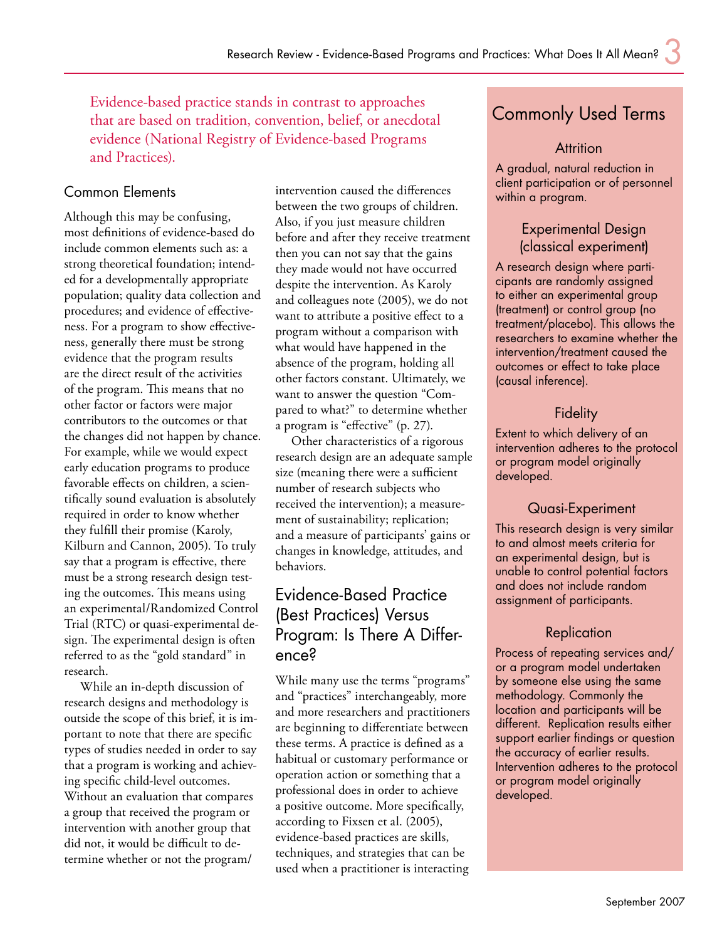Evidence-based practice stands in contrast to approaches that are based on tradition, convention, belief, or anecdotal evidence (National Registry of Evidence-based Programs and Practices).

#### Common Elements

Although this may be confusing, most definitions of evidence-based do include common elements such as: a strong theoretical foundation; intended for a developmentally appropriate population; quality data collection and procedures; and evidence of effectiveness. For a program to show effectiveness, generally there must be strong evidence that the program results are the direct result of the activities of the program. This means that no other factor or factors were major contributors to the outcomes or that the changes did not happen by chance. For example, while we would expect early education programs to produce favorable effects on children, a scientifically sound evaluation is absolutely required in order to know whether they fulfill their promise (Karoly, Kilburn and Cannon, 2005). To truly say that a program is effective, there must be a strong research design testing the outcomes. This means using an experimental/Randomized Control Trial (RTC) or quasi-experimental design. The experimental design is often referred to as the "gold standard" in research.

While an in-depth discussion of research designs and methodology is outside the scope of this brief, it is important to note that there are specific types of studies needed in order to say that a program is working and achieving specific child-level outcomes. Without an evaluation that compares a group that received the program or intervention with another group that did not, it would be difficult to determine whether or not the program/

intervention caused the differences between the two groups of children. Also, if you just measure children before and after they receive treatment then you can not say that the gains they made would not have occurred despite the intervention. As Karoly and colleagues note (2005), we do not want to attribute a positive effect to a program without a comparison with what would have happened in the absence of the program, holding all other factors constant. Ultimately, we want to answer the question "Compared to what?" to determine whether a program is "effective" (p. 27).

Other characteristics of a rigorous research design are an adequate sample size (meaning there were a sufficient number of research subjects who received the intervention); a measurement of sustainability; replication; and a measure of participants' gains or changes in knowledge, attitudes, and behaviors.

## Evidence-Based Practice (Best Practices) Versus Program: Is There A Difference?

While many use the terms "programs" and "practices" interchangeably, more and more researchers and practitioners are beginning to differentiate between these terms. A practice is defined as a habitual or customary performance or operation action or something that a professional does in order to achieve a positive outcome. More specifically, according to Fixsen et al. (2005), evidence-based practices are skills, techniques, and strategies that can be used when a practitioner is interacting

# Commonly Used Terms

#### **Attrition**

A gradual, natural reduction in client participation or of personnel within a program.

#### Experimental Design (classical experiment)

A research design where participants are randomly assigned to either an experimental group (treatment) or control group (no treatment/placebo). This allows the researchers to examine whether the intervention/treatment caused the outcomes or effect to take place (causal inference).

#### Fidelity

Extent to which delivery of an intervention adheres to the protocol or program model originally developed.

#### Quasi-Experiment

This research design is very similar to and almost meets criteria for an experimental design, but is unable to control potential factors and does not include random assignment of participants.

#### **Replication**

Process of repeating services and/ or a program model undertaken by someone else using the same methodology. Commonly the location and participants will be different. Replication results either support earlier findings or question the accuracy of earlier results. Intervention adheres to the protocol or program model originally developed.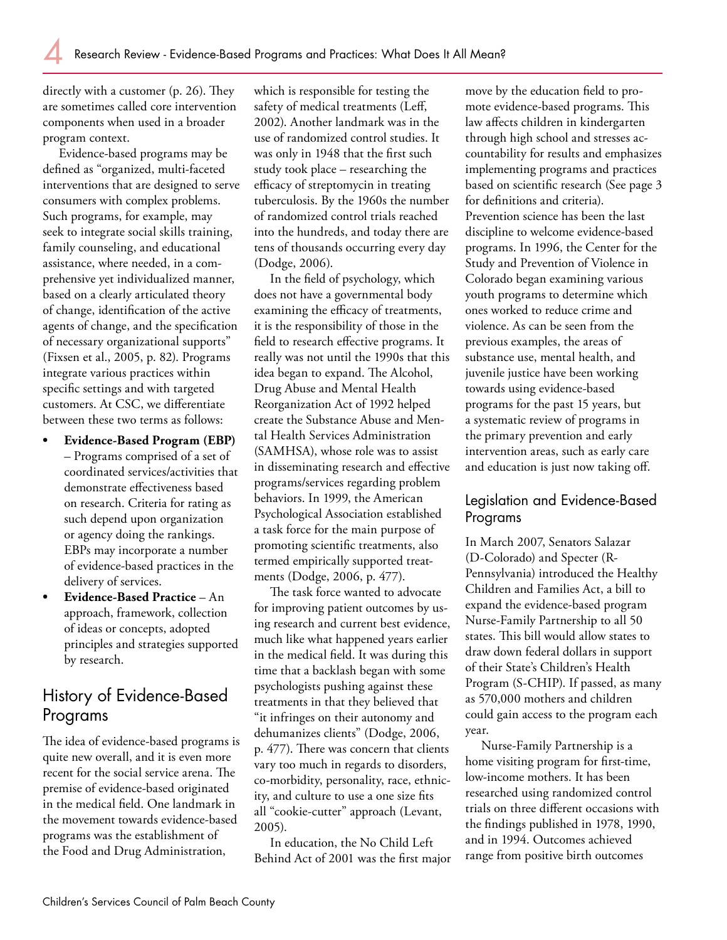directly with a customer (p. 26). They are sometimes called core intervention components when used in a broader program context.

Evidence-based programs may be defined as "organized, multi-faceted interventions that are designed to serve consumers with complex problems. Such programs, for example, may seek to integrate social skills training, family counseling, and educational assistance, where needed, in a comprehensive yet individualized manner, based on a clearly articulated theory of change, identification of the active agents of change, and the specification of necessary organizational supports" (Fixsen et al., 2005, p. 82). Programs integrate various practices within specific settings and with targeted customers. At CSC, we differentiate between these two terms as follows:

- **Evidence-Based Program (EBP)** – Programs comprised of a set of coordinated services/activities that demonstrate effectiveness based on research. Criteria for rating as such depend upon organization or agency doing the rankings. EBPs may incorporate a number of evidence-based practices in the delivery of services. **•**
- **Evidence-Based Practice** An approach, framework, collection of ideas or concepts, adopted principles and strategies supported by research. **•**

# History of Evidence-Based Programs

The idea of evidence-based programs is quite new overall, and it is even more recent for the social service arena. The premise of evidence-based originated in the medical field. One landmark in the movement towards evidence-based programs was the establishment of the Food and Drug Administration,

which is responsible for testing the safety of medical treatments (Leff, 2002). Another landmark was in the use of randomized control studies. It was only in 1948 that the first such study took place – researching the efficacy of streptomycin in treating tuberculosis. By the 1960s the number of randomized control trials reached into the hundreds, and today there are tens of thousands occurring every day (Dodge, 2006).

In the field of psychology, which does not have a governmental body examining the efficacy of treatments, it is the responsibility of those in the field to research effective programs. It really was not until the 1990s that this idea began to expand. The Alcohol, Drug Abuse and Mental Health Reorganization Act of 1992 helped create the Substance Abuse and Mental Health Services Administration (SAMHSA), whose role was to assist in disseminating research and effective programs/services regarding problem behaviors. In 1999, the American Psychological Association established a task force for the main purpose of promoting scientific treatments, also termed empirically supported treatments (Dodge, 2006, p. 477).

The task force wanted to advocate for improving patient outcomes by using research and current best evidence, much like what happened years earlier in the medical field. It was during this time that a backlash began with some psychologists pushing against these treatments in that they believed that "it infringes on their autonomy and dehumanizes clients" (Dodge, 2006, p. 477). There was concern that clients vary too much in regards to disorders, co-morbidity, personality, race, ethnicity, and culture to use a one size fits all "cookie-cutter" approach (Levant, 2005).

In education, the No Child Left Behind Act of 2001 was the first major move by the education field to promote evidence-based programs. This law affects children in kindergarten through high school and stresses accountability for results and emphasizes implementing programs and practices based on scientific research (See page 3 for definitions and criteria). Prevention science has been the last discipline to welcome evidence-based programs. In 1996, the Center for the Study and Prevention of Violence in Colorado began examining various youth programs to determine which ones worked to reduce crime and violence. As can be seen from the previous examples, the areas of substance use, mental health, and juvenile justice have been working towards using evidence-based programs for the past 15 years, but a systematic review of programs in the primary prevention and early intervention areas, such as early care and education is just now taking off.

#### Legislation and Evidence-Based Programs

In March 2007, Senators Salazar (D-Colorado) and Specter (R-Pennsylvania) introduced the Healthy Children and Families Act, a bill to expand the evidence-based program Nurse-Family Partnership to all 50 states. This bill would allow states to draw down federal dollars in support of their State's Children's Health Program (S-CHIP). If passed, as many as 570,000 mothers and children could gain access to the program each year.

Nurse-Family Partnership is a home visiting program for first-time, low-income mothers. It has been researched using randomized control trials on three different occasions with the findings published in 1978, 1990, and in 1994. Outcomes achieved range from positive birth outcomes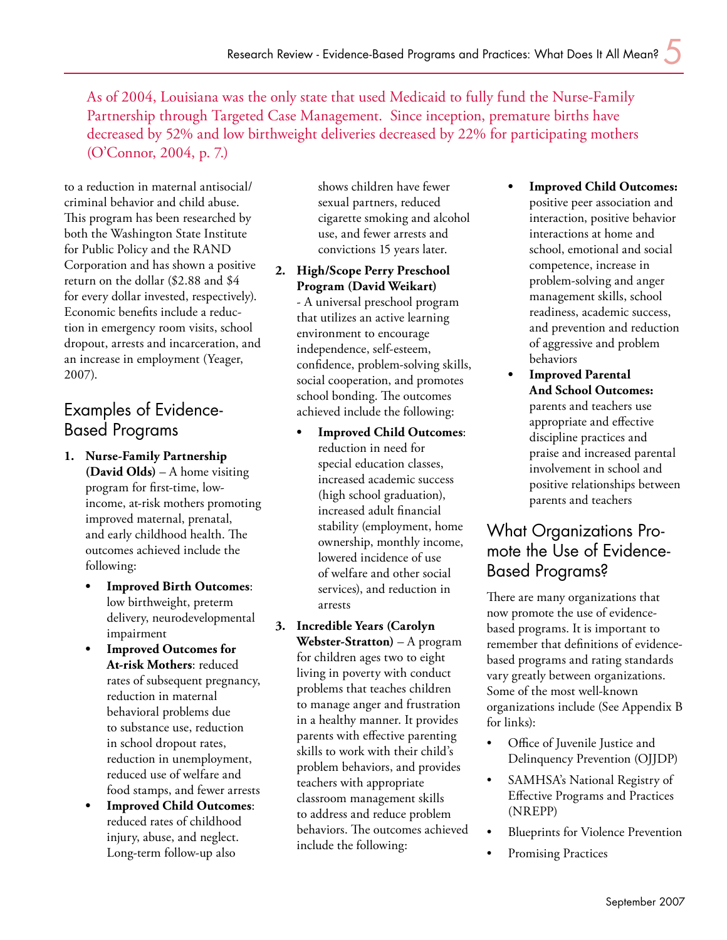**•**

As of 2004, Louisiana was the only state that used Medicaid to fully fund the Nurse-Family Partnership through Targeted Case Management. Since inception, premature births have decreased by 52% and low birthweight deliveries decreased by 22% for participating mothers (O'Connor, 2004, p. 7.)

to a reduction in maternal antisocial/ criminal behavior and child abuse. This program has been researched by both the Washington State Institute for Public Policy and the RAND Corporation and has shown a positive return on the dollar (\$2.88 and \$4 for every dollar invested, respectively). Economic benefits include a reduction in emergency room visits, school dropout, arrests and incarceration, and an increase in employment (Yeager, 2007).

# Examples of Evidence-Based Programs

- **Nurse-Family Partnership 1. (David Olds)** – A home visiting program for first-time, lowincome, at-risk mothers promoting improved maternal, prenatal, and early childhood health. The outcomes achieved include the following:
	- **Improved Birth Outcomes**: low birthweight, preterm delivery, neurodevelopmental impairment **•**
	- **Improved Outcomes for At-risk Mothers**: reduced rates of subsequent pregnancy, reduction in maternal behavioral problems due to substance use, reduction in school dropout rates, reduction in unemployment, reduced use of welfare and food stamps, and fewer arrests **•**
	- **Improved Child Outcomes**: reduced rates of childhood injury, abuse, and neglect. Long-term follow-up also **•**

shows children have fewer sexual partners, reduced cigarette smoking and alcohol use, and fewer arrests and convictions 15 years later.

- **High/Scope Perry Preschool 2. Program (David Weikart)** - A universal preschool program that utilizes an active learning environment to encourage independence, self-esteem, confidence, problem-solving skills, social cooperation, and promotes school bonding. The outcomes achieved include the following:
	- **Improved Child Outcomes**: reduction in need for special education classes, increased academic success (high school graduation), increased adult financial stability (employment, home ownership, monthly income, lowered incidence of use of welfare and other social services), and reduction in arrests **•**
- **Incredible Years (Carolyn 3. Webster-Stratton)** – A program for children ages two to eight living in poverty with conduct problems that teaches children to manage anger and frustration in a healthy manner. It provides parents with effective parenting skills to work with their child's problem behaviors, and provides teachers with appropriate classroom management skills to address and reduce problem behaviors. The outcomes achieved include the following:
- **Improved Child Outcomes:** positive peer association and interaction, positive behavior interactions at home and school, emotional and social competence, increase in problem-solving and anger management skills, school readiness, academic success, and prevention and reduction of aggressive and problem behaviors
- **Improved Parental And School Outcomes:** parents and teachers use appropriate and effective discipline practices and praise and increased parental involvement in school and positive relationships between parents and teachers **•**

# What Organizations Promote the Use of Evidence-Based Programs?

There are many organizations that now promote the use of evidencebased programs. It is important to remember that definitions of evidencebased programs and rating standards vary greatly between organizations. Some of the most well-known organizations include (See Appendix B for links):

- Office of Juvenile Justice and Delinquency Prevention (OJJDP) •
- SAMHSA's National Registry of Effective Programs and Practices (NREPP) •
- Blueprints for Violence Prevention •
- Promising Practices •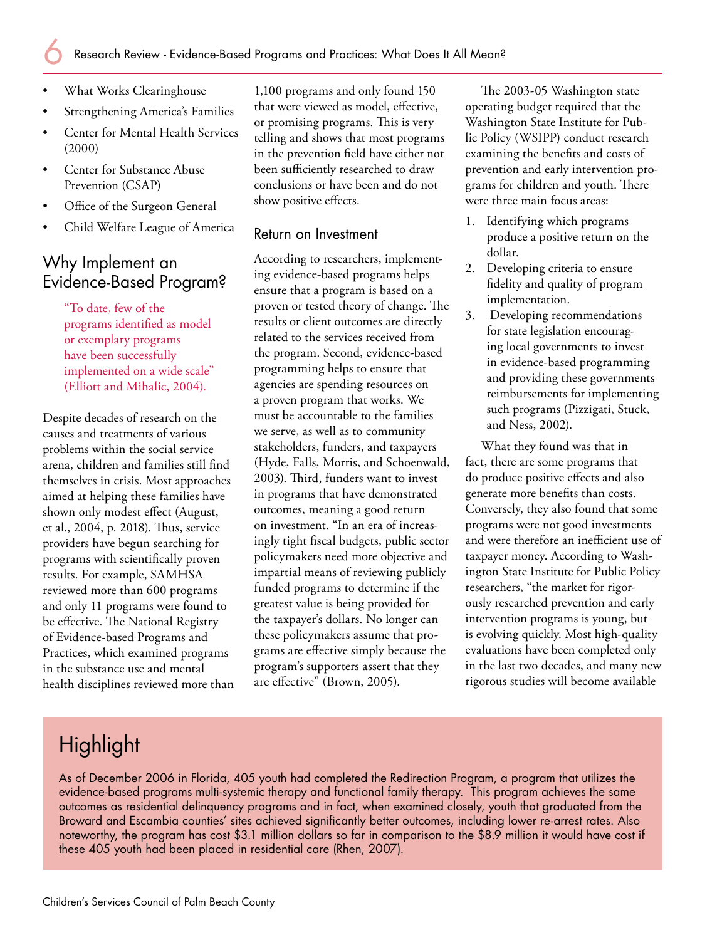- What Works Clearinghouse •
- Strengthening America's Families •
- Center for Mental Health Services (2000) •
- Center for Substance Abuse Prevention (CSAP) •
- Office of the Surgeon General •
- Child Welfare League of America •

#### Why Implement an Evidence-Based Program?

"To date, few of the programs identified as model or exemplary programs have been successfully implemented on a wide scale" (Elliott and Mihalic, 2004).

Despite decades of research on the causes and treatments of various problems within the social service arena, children and families still find themselves in crisis. Most approaches aimed at helping these families have shown only modest effect (August, et al., 2004, p. 2018). Thus, service providers have begun searching for programs with scientifically proven results. For example, SAMHSA reviewed more than 600 programs and only 11 programs were found to be effective. The National Registry of Evidence-based Programs and Practices, which examined programs in the substance use and mental health disciplines reviewed more than 1,100 programs and only found 150 that were viewed as model, effective, or promising programs. This is very telling and shows that most programs in the prevention field have either not been sufficiently researched to draw conclusions or have been and do not show positive effects.

#### Return on Investment

According to researchers, implementing evidence-based programs helps ensure that a program is based on a proven or tested theory of change. The results or client outcomes are directly related to the services received from the program. Second, evidence-based programming helps to ensure that agencies are spending resources on a proven program that works. We must be accountable to the families we serve, as well as to community stakeholders, funders, and taxpayers (Hyde, Falls, Morris, and Schoenwald, 2003). Third, funders want to invest in programs that have demonstrated outcomes, meaning a good return on investment. "In an era of increasingly tight fiscal budgets, public sector policymakers need more objective and impartial means of reviewing publicly funded programs to determine if the greatest value is being provided for the taxpayer's dollars. No longer can these policymakers assume that programs are effective simply because the program's supporters assert that they are effective" (Brown, 2005).

The 2003-05 Washington state operating budget required that the Washington State Institute for Public Policy (WSIPP) conduct research examining the benefits and costs of prevention and early intervention programs for children and youth. There were three main focus areas:

- 1. Identifying which programs produce a positive return on the dollar.
- 2. Developing criteria to ensure fidelity and quality of program implementation.
- Developing recommendations for state legislation encouraging local governments to invest in evidence-based programming and providing these governments reimbursements for implementing such programs (Pizzigati, Stuck, and Ness, 2002). 3.

What they found was that in fact, there are some programs that do produce positive effects and also generate more benefits than costs. Conversely, they also found that some programs were not good investments and were therefore an inefficient use of taxpayer money. According to Washington State Institute for Public Policy researchers, "the market for rigorously researched prevention and early intervention programs is young, but is evolving quickly. Most high-quality evaluations have been completed only in the last two decades, and many new rigorous studies will become available

# **Highlight**

As of December 2006 in Florida, 405 youth had completed the Redirection Program, a program that utilizes the evidence-based programs multi-systemic therapy and functional family therapy. This program achieves the same outcomes as residential delinquency programs and in fact, when examined closely, youth that graduated from the Broward and Escambia counties' sites achieved significantly better outcomes, including lower re-arrest rates. Also noteworthy, the program has cost \$3.1 million dollars so far in comparison to the \$8.9 million it would have cost if these 405 youth had been placed in residential care (Rhen, 2007).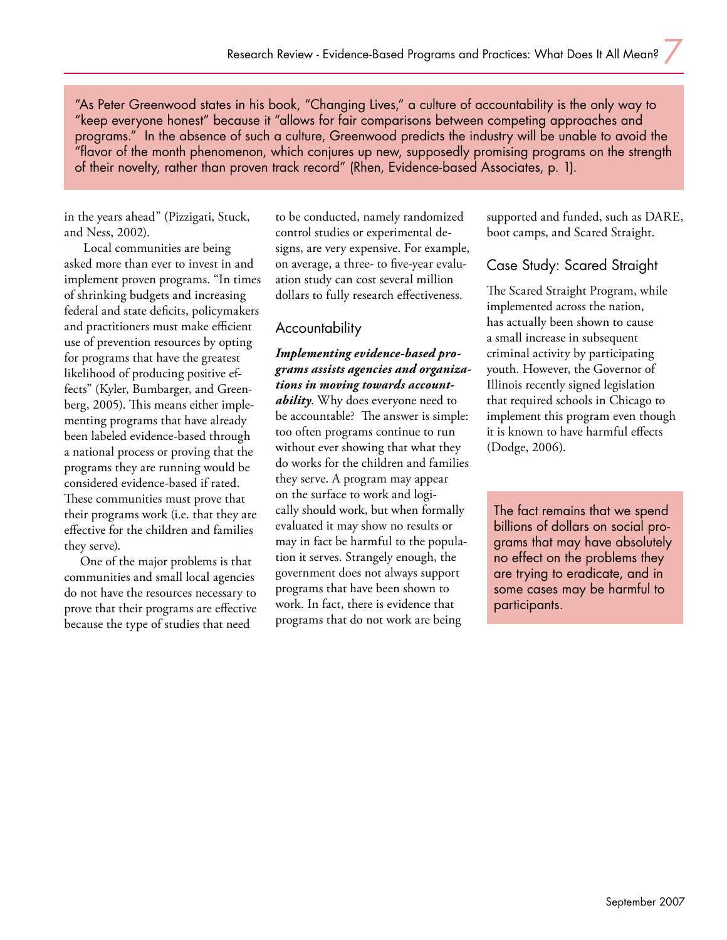"As Peter Greenwood states in his book, "Changing Lives," a culture of accountability is the only way to "keep everyone honest" because it "allows for fair comparisons between competing approaches and programs." In the absence of such a culture, Greenwood predicts the industry will be unable to avoid the "flavor of the month phenomenon, which conjures up new, supposedly promising programs on the strength of their novelty, rather than proven track record" (Rhen, Evidence-based Associates, p. 1).

in the years ahead" (Pizzigati, Stuck, and Ness, 2002).

 Local communities are being asked more than ever to invest in and implement proven programs. "In times of shrinking budgets and increasing federal and state deficits, policymakers and practitioners must make efficient use of prevention resources by opting for programs that have the greatest likelihood of producing positive effects" (Kyler, Bumbarger, and Greenberg, 2005). This means either implementing programs that have already been labeled evidence-based through a national process or proving that the programs they are running would be considered evidence-based if rated. These communities must prove that their programs work (i.e. that they are effective for the children and families they serve).

One of the major problems is that communities and small local agencies do not have the resources necessary to prove that their programs are effective because the type of studies that need

to be conducted, namely randomized control studies or experimental designs, are very expensive. For example, on average, a three- to five-year evaluation study can cost several million dollars to fully research effectiveness.

#### Accountability

*Implementing evidence-based programs assists agencies and organizations in moving towards accountability*. Why does everyone need to be accountable? The answer is simple: too often programs continue to run without ever showing that what they do works for the children and families they serve. A program may appear on the surface to work and logically should work, but when formally evaluated it may show no results or may in fact be harmful to the population it serves. Strangely enough, the government does not always support programs that have been shown to work. In fact, there is evidence that programs that do not work are being

supported and funded, such as DARE, boot camps, and Scared Straight.

#### Case Study: Scared Straight

The Scared Straight Program, while implemented across the nation, has actually been shown to cause a small increase in subsequent criminal activity by participating youth. However, the Governor of Illinois recently signed legislation that required schools in Chicago to implement this program even though it is known to have harmful effects (Dodge, 2006).

The fact remains that we spend billions of dollars on social programs that may have absolutely no effect on the problems they are trying to eradicate, and in some cases may be harmful to participants.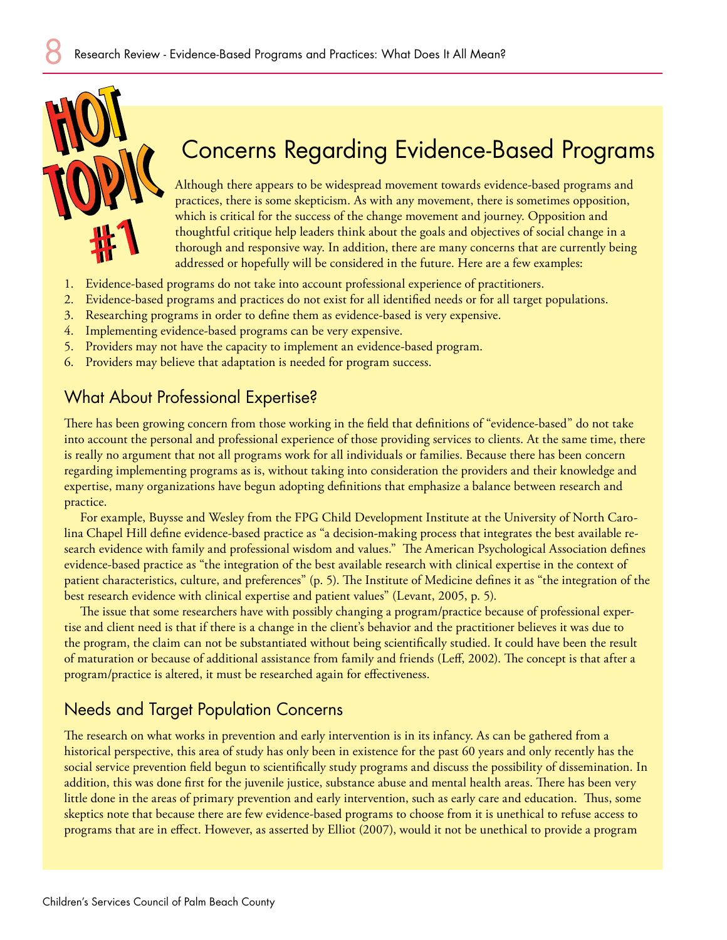

# Concerns Regarding Evidence-Based Programs

Although there appears to be widespread movement towards evidence-based programs and practices, there is some skepticism. As with any movement, there is sometimes opposition, which is critical for the success of the change movement and journey. Opposition and thoughtful critique help leaders think about the goals and objectives of social change in a thorough and responsive way. In addition, there are many concerns that are currently being addressed or hopefully will be considered in the future. Here are a few examples:

- Evidence-based programs do not take into account professional experience of practitioners. 1.
- Evidence-based programs and practices do not exist for all identified needs or for all target populations. 2.
- Researching programs in order to define them as evidence-based is very expensive. 3.
- Implementing evidence-based programs can be very expensive. 4.
- Providers may not have the capacity to implement an evidence-based program. 5.
- Providers may believe that adaptation is needed for program success. 6.

## What About Professional Expertise?

There has been growing concern from those working in the field that definitions of "evidence-based" do not take into account the personal and professional experience of those providing services to clients. At the same time, there is really no argument that not all programs work for all individuals or families. Because there has been concern regarding implementing programs as is, without taking into consideration the providers and their knowledge and expertise, many organizations have begun adopting definitions that emphasize a balance between research and practice.

For example, Buysse and Wesley from the FPG Child Development Institute at the University of North Carolina Chapel Hill define evidence-based practice as "a decision-making process that integrates the best available research evidence with family and professional wisdom and values." The American Psychological Association defines evidence-based practice as "the integration of the best available research with clinical expertise in the context of patient characteristics, culture, and preferences" (p. 5). The Institute of Medicine defines it as "the integration of the best research evidence with clinical expertise and patient values" (Levant, 2005, p. 5).

The issue that some researchers have with possibly changing a program/practice because of professional expertise and client need is that if there is a change in the client's behavior and the practitioner believes it was due to the program, the claim can not be substantiated without being scientifically studied. It could have been the result of maturation or because of additional assistance from family and friends (Leff, 2002). The concept is that after a program/practice is altered, it must be researched again for effectiveness.

## Needs and Target Population Concerns

The research on what works in prevention and early intervention is in its infancy. As can be gathered from a historical perspective, this area of study has only been in existence for the past 60 years and only recently has the social service prevention field begun to scientifically study programs and discuss the possibility of dissemination. In addition, this was done first for the juvenile justice, substance abuse and mental health areas. There has been very little done in the areas of primary prevention and early intervention, such as early care and education. Thus, some skeptics note that because there are few evidence-based programs to choose from it is unethical to refuse access to programs that are in effect. However, as asserted by Elliot (2007), would it not be unethical to provide a program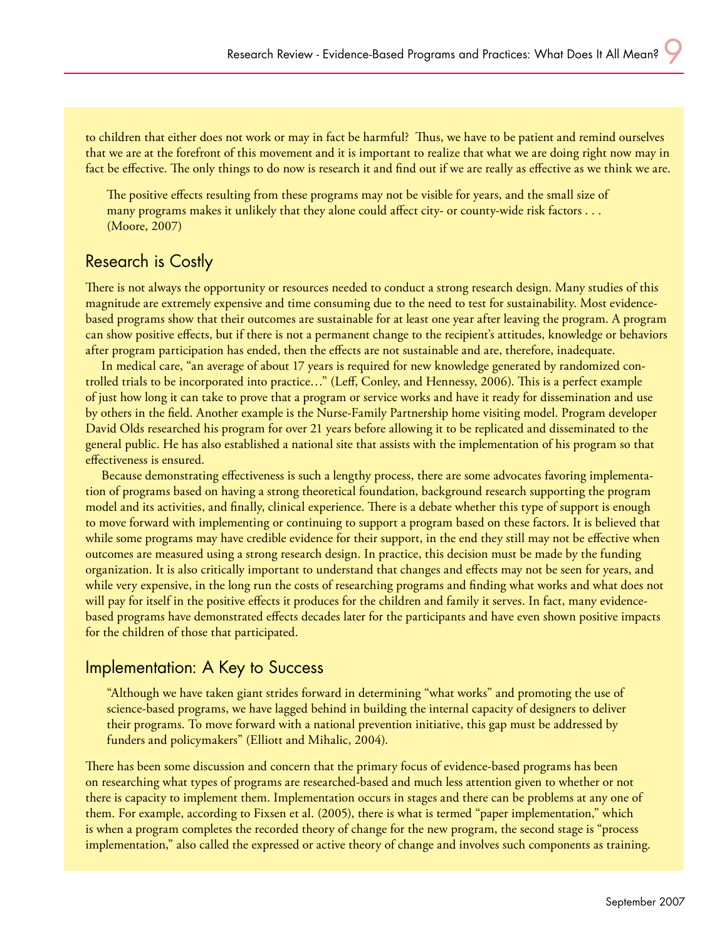to children that either does not work or may in fact be harmful? Thus, we have to be patient and remind ourselves that we are at the forefront of this movement and it is important to realize that what we are doing right now may in fact be effective. The only things to do now is research it and find out if we are really as effective as we think we are.

The positive effects resulting from these programs may not be visible for years, and the small size of many programs makes it unlikely that they alone could affect city- or county-wide risk factors . . . (Moore, 2007)

#### Research is Costly

There is not always the opportunity or resources needed to conduct a strong research design. Many studies of this magnitude are extremely expensive and time consuming due to the need to test for sustainability. Most evidencebased programs show that their outcomes are sustainable for at least one year after leaving the program. A program can show positive effects, but if there is not a permanent change to the recipient's attitudes, knowledge or behaviors after program participation has ended, then the effects are not sustainable and are, therefore, inadequate.

In medical care, "an average of about 17 years is required for new knowledge generated by randomized controlled trials to be incorporated into practice…" (Leff, Conley, and Hennessy, 2006). This is a perfect example of just how long it can take to prove that a program or service works and have it ready for dissemination and use by others in the field. Another example is the Nurse-Family Partnership home visiting model. Program developer David Olds researched his program for over 21 years before allowing it to be replicated and disseminated to the general public. He has also established a national site that assists with the implementation of his program so that effectiveness is ensured.

Because demonstrating effectiveness is such a lengthy process, there are some advocates favoring implementation of programs based on having a strong theoretical foundation, background research supporting the program model and its activities, and finally, clinical experience. There is a debate whether this type of support is enough to move forward with implementing or continuing to support a program based on these factors. It is believed that while some programs may have credible evidence for their support, in the end they still may not be effective when outcomes are measured using a strong research design. In practice, this decision must be made by the funding organization. It is also critically important to understand that changes and effects may not be seen for years, and while very expensive, in the long run the costs of researching programs and finding what works and what does not will pay for itself in the positive effects it produces for the children and family it serves. In fact, many evidencebased programs have demonstrated effects decades later for the participants and have even shown positive impacts for the children of those that participated.

#### Implementation: A Key to Success

"Although we have taken giant strides forward in determining "what works" and promoting the use of science-based programs, we have lagged behind in building the internal capacity of designers to deliver their programs. To move forward with a national prevention initiative, this gap must be addressed by funders and policymakers" (Elliott and Mihalic, 2004).

There has been some discussion and concern that the primary focus of evidence-based programs has been on researching what types of programs are researched-based and much less attention given to whether or not there is capacity to implement them. Implementation occurs in stages and there can be problems at any one of them. For example, according to Fixsen et al. (2005), there is what is termed "paper implementation," which is when a program completes the recorded theory of change for the new program, the second stage is "process implementation," also called the expressed or active theory of change and involves such components as training.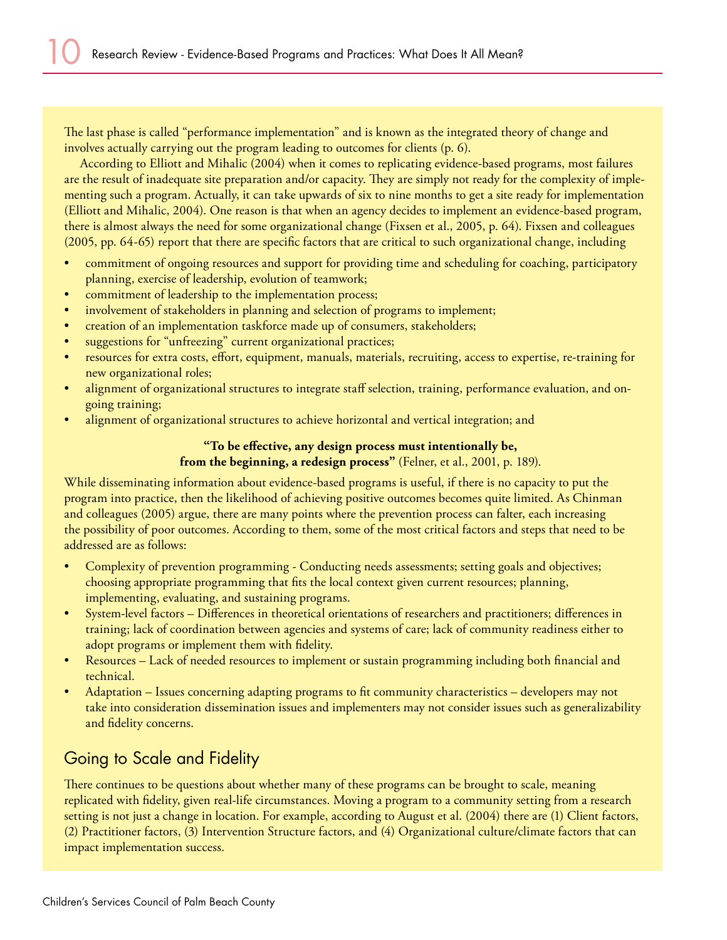The last phase is called "performance implementation" and is known as the integrated theory of change and involves actually carrying out the program leading to outcomes for clients (p. 6).

According to Elliott and Mihalic (2004) when it comes to replicating evidence-based programs, most failures are the result of inadequate site preparation and/or capacity. They are simply not ready for the complexity of implementing such a program. Actually, it can take upwards of six to nine months to get a site ready for implementation (Elliott and Mihalic, 2004). One reason is that when an agency decides to implement an evidence-based program, there is almost always the need for some organizational change (Fixsen et al., 2005, p. 64). Fixsen and colleagues (2005, pp. 64-65) report that there are specific factors that are critical to such organizational change, including

- commitment of ongoing resources and support for providing time and scheduling for coaching, participatory planning, exercise of leadership, evolution of teamwork; •
- commitment of leadership to the implementation process; •
- involvement of stakeholders in planning and selection of programs to implement; •
- creation of an implementation taskforce made up of consumers, stakeholders; •
- suggestions for "unfreezing" current organizational practices; •
- resources for extra costs, effort, equipment, manuals, materials, recruiting, access to expertise, re-training for new organizational roles; •
- alignment of organizational structures to integrate staff selection, training, performance evaluation, and ongoing training; •
- alignment of organizational structures to achieve horizontal and vertical integration; and •

#### **"To be effective, any design process must intentionally be, from the beginning, a redesign process"** (Felner, et al., 2001, p. 189).

While disseminating information about evidence-based programs is useful, if there is no capacity to put the program into practice, then the likelihood of achieving positive outcomes becomes quite limited. As Chinman and colleagues (2005) argue, there are many points where the prevention process can falter, each increasing the possibility of poor outcomes. According to them, some of the most critical factors and steps that need to be addressed are as follows:

- Complexity of prevention programming Conducting needs assessments; setting goals and objectives; choosing appropriate programming that fits the local context given current resources; planning, implementing, evaluating, and sustaining programs. •
- System-level factors Differences in theoretical orientations of researchers and practitioners; differences in training; lack of coordination between agencies and systems of care; lack of community readiness either to adopt programs or implement them with fidelity. •
- Resources Lack of needed resources to implement or sustain programming including both financial and technical. •
- Adaptation Issues concerning adapting programs to fit community characteristics developers may not take into consideration dissemination issues and implementers may not consider issues such as generalizability and fidelity concerns. •

# Going to Scale and Fidelity

There continues to be questions about whether many of these programs can be brought to scale, meaning replicated with fidelity, given real-life circumstances. Moving a program to a community setting from a research setting is not just a change in location. For example, according to August et al. (2004) there are (1) Client factors, (2) Practitioner factors, (3) Intervention Structure factors, and (4) Organizational culture/climate factors that can impact implementation success.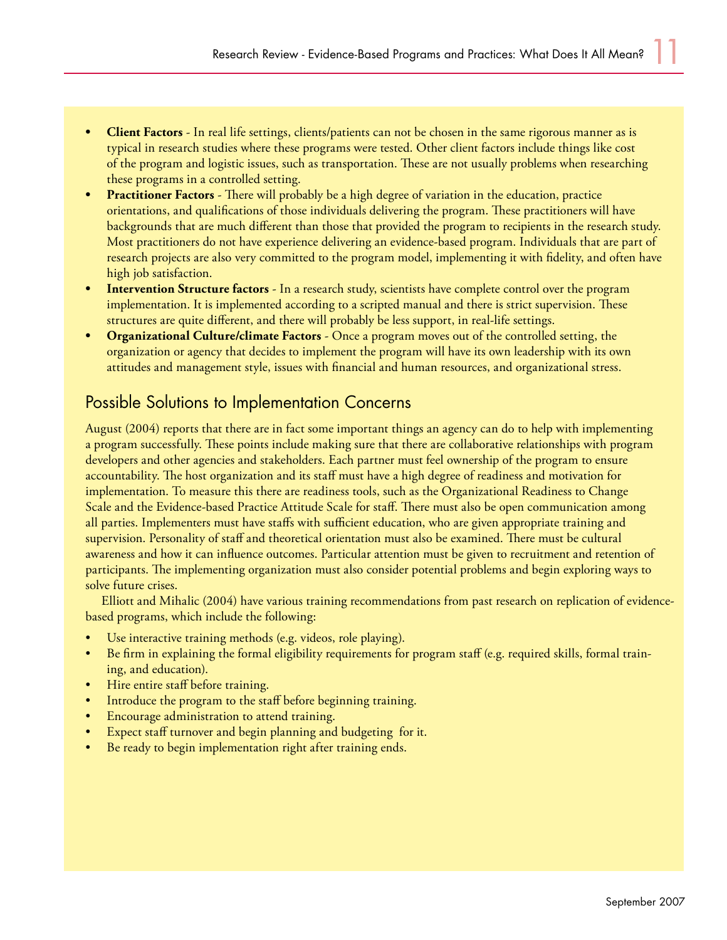- **Client Factors** In real life settings, clients/patients can not be chosen in the same rigorous manner as is typical in research studies where these programs were tested. Other client factors include things like cost of the program and logistic issues, such as transportation. These are not usually problems when researching these programs in a controlled setting. **•**
- **Practitioner Factors** There will probably be a high degree of variation in the education, practice orientations, and qualifications of those individuals delivering the program. These practitioners will have backgrounds that are much different than those that provided the program to recipients in the research study. Most practitioners do not have experience delivering an evidence-based program. Individuals that are part of research projects are also very committed to the program model, implementing it with fidelity, and often have high job satisfaction. **•**
- **Intervention Structure factors** In a research study, scientists have complete control over the program implementation. It is implemented according to a scripted manual and there is strict supervision. These structures are quite different, and there will probably be less support, in real-life settings. **•**
- **Organizational Culture/climate Factors** Once a program moves out of the controlled setting, the organization or agency that decides to implement the program will have its own leadership with its own attitudes and management style, issues with financial and human resources, and organizational stress. **•**

#### Possible Solutions to Implementation Concerns

August (2004) reports that there are in fact some important things an agency can do to help with implementing a program successfully. These points include making sure that there are collaborative relationships with program developers and other agencies and stakeholders. Each partner must feel ownership of the program to ensure accountability. The host organization and its staff must have a high degree of readiness and motivation for implementation. To measure this there are readiness tools, such as the Organizational Readiness to Change Scale and the Evidence-based Practice Attitude Scale for staff. There must also be open communication among all parties. Implementers must have staffs with sufficient education, who are given appropriate training and supervision. Personality of staff and theoretical orientation must also be examined. There must be cultural awareness and how it can influence outcomes. Particular attention must be given to recruitment and retention of participants. The implementing organization must also consider potential problems and begin exploring ways to solve future crises.

Elliott and Mihalic (2004) have various training recommendations from past research on replication of evidencebased programs, which include the following:

- Use interactive training methods (e.g. videos, role playing). •
- Be firm in explaining the formal eligibility requirements for program staff (e.g. required skills, formal training, and education). •
- Hire entire staff before training. •
- Introduce the program to the staff before beginning training. •
- Encourage administration to attend training. •
- Expect staff turnover and begin planning and budgeting for it. •
- Be ready to begin implementation right after training ends. •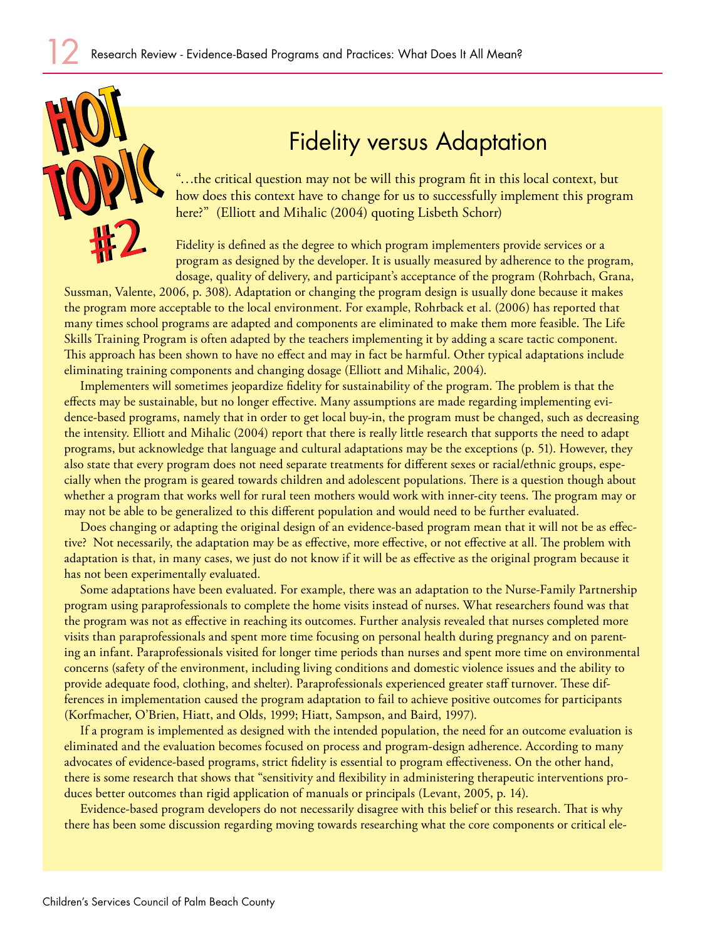

# Fidelity versus Adaptation

"…the critical question may not be will this program fit in this local context, but how does this context have to change for us to successfully implement this program here?" (Elliott and Mihalic (2004) quoting Lisbeth Schorr)

Fidelity is defined as the degree to which program implementers provide services or a program as designed by the developer. It is usually measured by adherence to the program, dosage, quality of delivery, and participant's acceptance of the program (Rohrbach, Grana,

Sussman, Valente, 2006, p. 308). Adaptation or changing the program design is usually done because it makes the program more acceptable to the local environment. For example, Rohrback et al. (2006) has reported that many times school programs are adapted and components are eliminated to make them more feasible. The Life Skills Training Program is often adapted by the teachers implementing it by adding a scare tactic component. This approach has been shown to have no effect and may in fact be harmful. Other typical adaptations include eliminating training components and changing dosage (Elliott and Mihalic, 2004).

Implementers will sometimes jeopardize fidelity for sustainability of the program. The problem is that the effects may be sustainable, but no longer effective. Many assumptions are made regarding implementing evidence-based programs, namely that in order to get local buy-in, the program must be changed, such as decreasing the intensity. Elliott and Mihalic (2004) report that there is really little research that supports the need to adapt programs, but acknowledge that language and cultural adaptations may be the exceptions (p. 51). However, they also state that every program does not need separate treatments for different sexes or racial/ethnic groups, especially when the program is geared towards children and adolescent populations. There is a question though about whether a program that works well for rural teen mothers would work with inner-city teens. The program may or may not be able to be generalized to this different population and would need to be further evaluated.

Does changing or adapting the original design of an evidence-based program mean that it will not be as effective? Not necessarily, the adaptation may be as effective, more effective, or not effective at all. The problem with adaptation is that, in many cases, we just do not know if it will be as effective as the original program because it has not been experimentally evaluated.

Some adaptations have been evaluated. For example, there was an adaptation to the Nurse-Family Partnership program using paraprofessionals to complete the home visits instead of nurses. What researchers found was that the program was not as effective in reaching its outcomes. Further analysis revealed that nurses completed more visits than paraprofessionals and spent more time focusing on personal health during pregnancy and on parenting an infant. Paraprofessionals visited for longer time periods than nurses and spent more time on environmental concerns (safety of the environment, including living conditions and domestic violence issues and the ability to provide adequate food, clothing, and shelter). Paraprofessionals experienced greater staff turnover. These differences in implementation caused the program adaptation to fail to achieve positive outcomes for participants (Korfmacher, O'Brien, Hiatt, and Olds, 1999; Hiatt, Sampson, and Baird, 1997).

If a program is implemented as designed with the intended population, the need for an outcome evaluation is eliminated and the evaluation becomes focused on process and program-design adherence. According to many advocates of evidence-based programs, strict fidelity is essential to program effectiveness. On the other hand, there is some research that shows that "sensitivity and flexibility in administering therapeutic interventions produces better outcomes than rigid application of manuals or principals (Levant, 2005, p. 14).

Evidence-based program developers do not necessarily disagree with this belief or this research. That is why there has been some discussion regarding moving towards researching what the core components or critical ele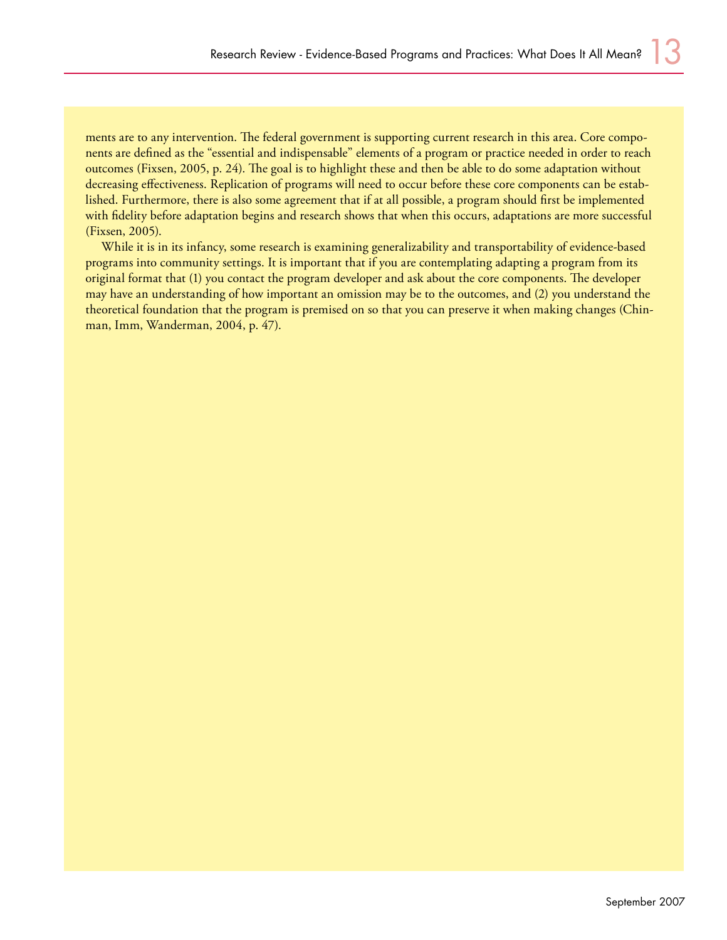ments are to any intervention. The federal government is supporting current research in this area. Core components are defined as the "essential and indispensable" elements of a program or practice needed in order to reach outcomes (Fixsen, 2005, p. 24). The goal is to highlight these and then be able to do some adaptation without decreasing effectiveness. Replication of programs will need to occur before these core components can be established. Furthermore, there is also some agreement that if at all possible, a program should first be implemented with fidelity before adaptation begins and research shows that when this occurs, adaptations are more successful (Fixsen, 2005).

While it is in its infancy, some research is examining generalizability and transportability of evidence-based programs into community settings. It is important that if you are contemplating adapting a program from its original format that (1) you contact the program developer and ask about the core components. The developer may have an understanding of how important an omission may be to the outcomes, and (2) you understand the theoretical foundation that the program is premised on so that you can preserve it when making changes (Chinman, Imm, Wanderman, 2004, p. 47).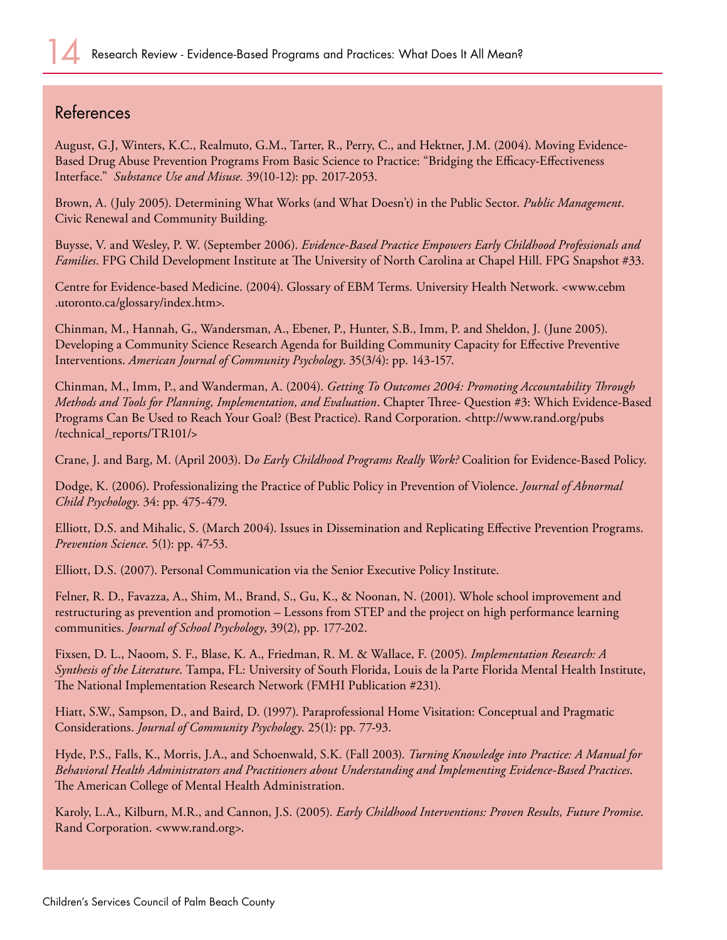#### References

August, G.J, Winters, K.C., Realmuto, G.M., Tarter, R., Perry, C., and Hektner, J.M. (2004). Moving Evidence-Based Drug Abuse Prevention Programs From Basic Science to Practice: "Bridging the Efficacy-Effectiveness Interface." *Substance Use and Misuse.* 39(10-12): pp. 2017-2053.

Brown, A. (July 2005). Determining What Works (and What Doesn't) in the Public Sector. *Public Management*. Civic Renewal and Community Building.

Buysse, V. and Wesley, P. W. (September 2006). *Evidence-Based Practice Empowers Early Childhood Professionals and Families*. FPG Child Development Institute at The University of North Carolina at Chapel Hill. FPG Snapshot #33.

Centre for Evidence-based Medicine. (2004). Glossary of EBM Terms. University Health Network. <www.cebm .utoronto.ca/glossary/index.htm>.

Chinman, M., Hannah, G., Wandersman, A., Ebener, P., Hunter, S.B., Imm, P. and Sheldon, J. (June 2005). Developing a Community Science Research Agenda for Building Community Capacity for Effective Preventive Interventions. *American Journal of Community Psychology*. 35(3/4): pp. 143-157.

Chinman, M., Imm, P., and Wanderman, A. (2004). *Getting To Outcomes 2004: Promoting Accountability Through Methods and Tools for Planning, Implementation, and Evaluation*. Chapter Three- Question #3: Which Evidence-Based Programs Can Be Used to Reach Your Goal? (Best Practice). Rand Corporation. <http://www.rand.org/pubs /technical\_reports/TR101/>

Crane, J. and Barg, M. (April 2003). D*o Early Childhood Programs Really Work?* Coalition for Evidence-Based Policy.

Dodge, K. (2006). Professionalizing the Practice of Public Policy in Prevention of Violence. *Journal of Abnormal Child Psychology*. 34: pp. 475-479.

Elliott, D.S. and Mihalic, S. (March 2004). Issues in Dissemination and Replicating Effective Prevention Programs. *Prevention Science*. 5(1): pp. 47-53.

Elliott, D.S. (2007). Personal Communication via the Senior Executive Policy Institute.

Felner, R. D., Favazza, A., Shim, M., Brand, S., Gu, K., & Noonan, N. (2001). Whole school improvement and restructuring as prevention and promotion – Lessons from STEP and the project on high performance learning communities. *Journal of School Psychology*, 39(2), pp. 177-202.

Fixsen, D. L., Naoom, S. F., Blase, K. A., Friedman, R. M. & Wallace, F. (2005). *Implementation Research: A Synthesis of the Literature*. Tampa, FL: University of South Florida, Louis de la Parte Florida Mental Health Institute, The National Implementation Research Network (FMHI Publication #231).

Hiatt, S.W., Sampson, D., and Baird, D. (1997). Paraprofessional Home Visitation: Conceptual and Pragmatic Considerations. *Journal of Community Psychology*. 25(1): pp. 77-93.

Hyde, P.S., Falls, K., Morris, J.A., and Schoenwald, S.K. (Fall 2003). *Turning Knowledge into Practice: A Manual for Behavioral Health Administrators and Practitioners about Understanding and Implementing Evidence-Based Practices*. The American College of Mental Health Administration.

Karoly, L.A., Kilburn, M.R., and Cannon, J.S. (2005). *Early Childhood Interventions: Proven Results, Future Promise*. Rand Corporation. <www.rand.org>.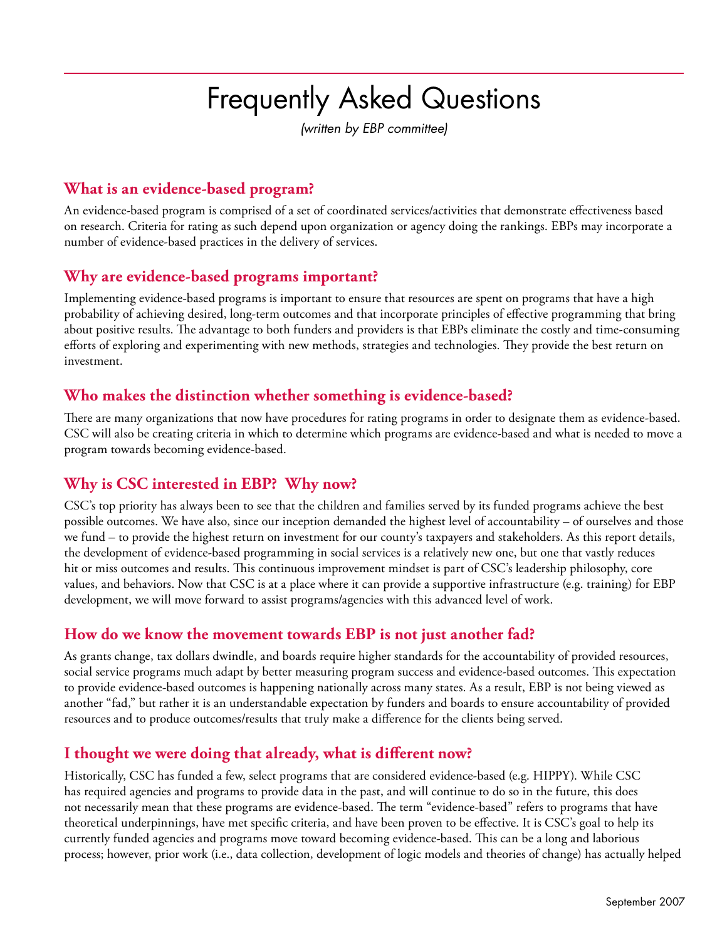# Frequently Asked Questions

*(written by EBP committee)*

#### **What is an evidence-based program?**

An evidence-based program is comprised of a set of coordinated services/activities that demonstrate effectiveness based on research. Criteria for rating as such depend upon organization or agency doing the rankings. EBPs may incorporate a number of evidence-based practices in the delivery of services.

#### **Why are evidence-based programs important?**

Implementing evidence-based programs is important to ensure that resources are spent on programs that have a high probability of achieving desired, long-term outcomes and that incorporate principles of effective programming that bring about positive results. The advantage to both funders and providers is that EBPs eliminate the costly and time-consuming efforts of exploring and experimenting with new methods, strategies and technologies. They provide the best return on investment.

#### **Who makes the distinction whether something is evidence-based?**

There are many organizations that now have procedures for rating programs in order to designate them as evidence-based. CSC will also be creating criteria in which to determine which programs are evidence-based and what is needed to move a program towards becoming evidence-based.

#### **Why is CSC interested in EBP? Why now?**

CSC's top priority has always been to see that the children and families served by its funded programs achieve the best possible outcomes. We have also, since our inception demanded the highest level of accountability – of ourselves and those we fund – to provide the highest return on investment for our county's taxpayers and stakeholders. As this report details, the development of evidence-based programming in social services is a relatively new one, but one that vastly reduces hit or miss outcomes and results. This continuous improvement mindset is part of CSC's leadership philosophy, core values, and behaviors. Now that CSC is at a place where it can provide a supportive infrastructure (e.g. training) for EBP development, we will move forward to assist programs/agencies with this advanced level of work.

#### **How do we know the movement towards EBP is not just another fad?**

As grants change, tax dollars dwindle, and boards require higher standards for the accountability of provided resources, social service programs much adapt by better measuring program success and evidence-based outcomes. This expectation to provide evidence-based outcomes is happening nationally across many states. As a result, EBP is not being viewed as another "fad," but rather it is an understandable expectation by funders and boards to ensure accountability of provided resources and to produce outcomes/results that truly make a difference for the clients being served.

#### **I thought we were doing that already, what is different now?**

Historically, CSC has funded a few, select programs that are considered evidence-based (e.g. HIPPY). While CSC has required agencies and programs to provide data in the past, and will continue to do so in the future, this does not necessarily mean that these programs are evidence-based. The term "evidence-based" refers to programs that have theoretical underpinnings, have met specific criteria, and have been proven to be effective. It is CSC's goal to help its currently funded agencies and programs move toward becoming evidence-based. This can be a long and laborious process; however, prior work (i.e., data collection, development of logic models and theories of change) has actually helped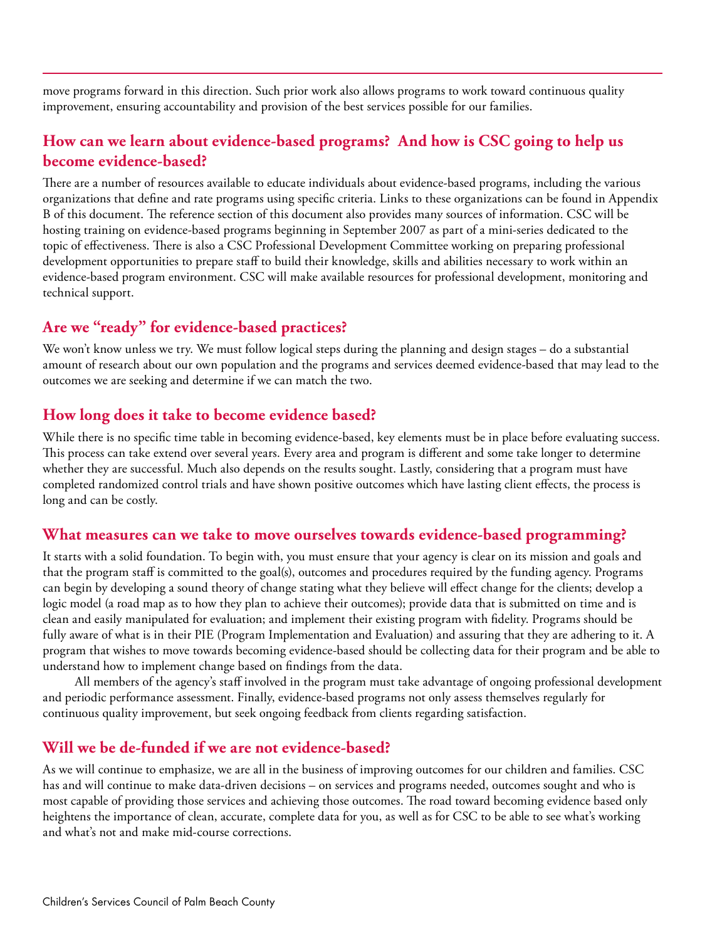move programs forward in this direction. Such prior work also allows programs to work toward continuous quality improvement, ensuring accountability and provision of the best services possible for our families.

#### **How can we learn about evidence-based programs? And how is CSC going to help us become evidence-based?**

There are a number of resources available to educate individuals about evidence-based programs, including the various organizations that define and rate programs using specific criteria. Links to these organizations can be found in Appendix B of this document. The reference section of this document also provides many sources of information. CSC will be hosting training on evidence-based programs beginning in September 2007 as part of a mini-series dedicated to the topic of effectiveness. There is also a CSC Professional Development Committee working on preparing professional development opportunities to prepare staff to build their knowledge, skills and abilities necessary to work within an evidence-based program environment. CSC will make available resources for professional development, monitoring and technical support.

#### **Are we "ready" for evidence-based practices?**

We won't know unless we try. We must follow logical steps during the planning and design stages – do a substantial amount of research about our own population and the programs and services deemed evidence-based that may lead to the outcomes we are seeking and determine if we can match the two.

#### **How long does it take to become evidence based?**

While there is no specific time table in becoming evidence-based, key elements must be in place before evaluating success. This process can take extend over several years. Every area and program is different and some take longer to determine whether they are successful. Much also depends on the results sought. Lastly, considering that a program must have completed randomized control trials and have shown positive outcomes which have lasting client effects, the process is long and can be costly.

#### **What measures can we take to move ourselves towards evidence-based programming?**

It starts with a solid foundation. To begin with, you must ensure that your agency is clear on its mission and goals and that the program staff is committed to the goal(s), outcomes and procedures required by the funding agency. Programs can begin by developing a sound theory of change stating what they believe will effect change for the clients; develop a logic model (a road map as to how they plan to achieve their outcomes); provide data that is submitted on time and is clean and easily manipulated for evaluation; and implement their existing program with fidelity. Programs should be fully aware of what is in their PIE (Program Implementation and Evaluation) and assuring that they are adhering to it. A program that wishes to move towards becoming evidence-based should be collecting data for their program and be able to understand how to implement change based on findings from the data.

All members of the agency's staff involved in the program must take advantage of ongoing professional development and periodic performance assessment. Finally, evidence-based programs not only assess themselves regularly for continuous quality improvement, but seek ongoing feedback from clients regarding satisfaction.

#### **Will we be de-funded if we are not evidence-based?**

As we will continue to emphasize, we are all in the business of improving outcomes for our children and families. CSC has and will continue to make data-driven decisions – on services and programs needed, outcomes sought and who is most capable of providing those services and achieving those outcomes. The road toward becoming evidence based only heightens the importance of clean, accurate, complete data for you, as well as for CSC to be able to see what's working and what's not and make mid-course corrections.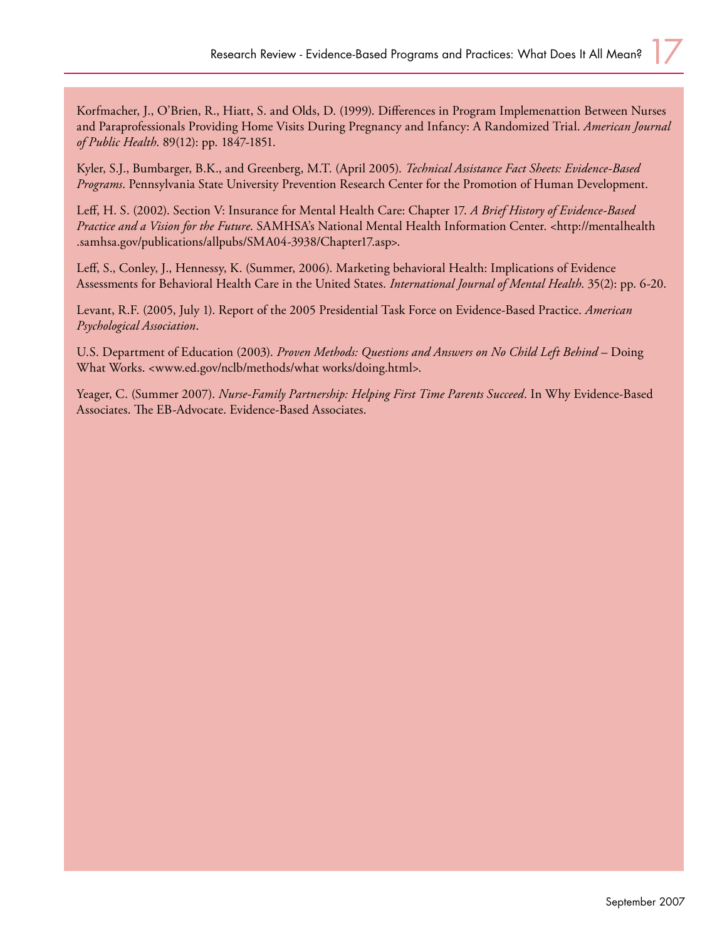Korfmacher, J., O'Brien, R., Hiatt, S. and Olds, D. (1999). Differences in Program Implemenattion Between Nurses and Paraprofessionals Providing Home Visits During Pregnancy and Infancy: A Randomized Trial. *American Journal of Public Health*. 89(12): pp. 1847-1851.

Kyler, S.J., Bumbarger, B.K., and Greenberg, M.T. (April 2005). *Technical Assistance Fact Sheets: Evidence-Based Programs*. Pennsylvania State University Prevention Research Center for the Promotion of Human Development.

Leff, H. S. (2002). Section V: Insurance for Mental Health Care: Chapter 17. *A Brief History of Evidence-Based Practice and a Vision for the Future*. SAMHSA's National Mental Health Information Center. <http://mentalhealth .samhsa.gov/publications/allpubs/SMA04-3938/Chapter17.asp>.

Leff, S., Conley, J., Hennessy, K. (Summer, 2006). Marketing behavioral Health: Implications of Evidence Assessments for Behavioral Health Care in the United States. *International Journal of Mental Health*. 35(2): pp. 6-20.

Levant, R.F. (2005, July 1). Report of the 2005 Presidential Task Force on Evidence-Based Practice. *American Psychological Association*.

U.S. Department of Education (2003). *Proven Methods: Questions and Answers on No Child Left Behind* – Doing What Works. <www.ed.gov/nclb/methods/what works/doing.html>.

Yeager, C. (Summer 2007). *Nurse-Family Partnership: Helping First Time Parents Succeed*. In Why Evidence-Based Associates. The EB-Advocate. Evidence-Based Associates.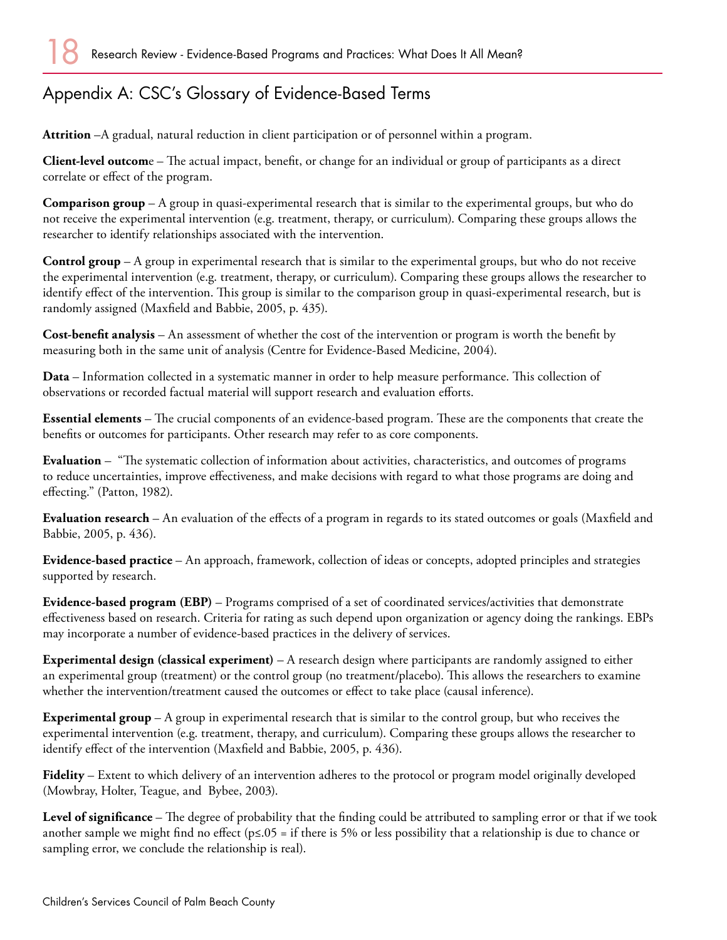# Appendix A: CSC's Glossary of Evidence-Based Terms

**Attrition** –A gradual, natural reduction in client participation or of personnel within a program.

**Client-level outcom**e – The actual impact, benefit, or change for an individual or group of participants as a direct correlate or effect of the program.

**Comparison group** – A group in quasi-experimental research that is similar to the experimental groups, but who do not receive the experimental intervention (e.g. treatment, therapy, or curriculum). Comparing these groups allows the researcher to identify relationships associated with the intervention.

**Control group** – A group in experimental research that is similar to the experimental groups, but who do not receive the experimental intervention (e.g. treatment, therapy, or curriculum). Comparing these groups allows the researcher to identify effect of the intervention. This group is similar to the comparison group in quasi-experimental research, but is randomly assigned (Maxfield and Babbie, 2005, p. 435).

**Cost-benefit analysis** – An assessment of whether the cost of the intervention or program is worth the benefit by measuring both in the same unit of analysis (Centre for Evidence-Based Medicine, 2004).

**Data** – Information collected in a systematic manner in order to help measure performance. This collection of observations or recorded factual material will support research and evaluation efforts.

**Essential elements** – The crucial components of an evidence-based program. These are the components that create the benefits or outcomes for participants. Other research may refer to as core components.

**Evaluation** – "The systematic collection of information about activities, characteristics, and outcomes of programs to reduce uncertainties, improve effectiveness, and make decisions with regard to what those programs are doing and effecting." (Patton, 1982).

**Evaluation research** – An evaluation of the effects of a program in regards to its stated outcomes or goals (Maxfield and Babbie, 2005, p. 436).

**Evidence-based practice** – An approach, framework, collection of ideas or concepts, adopted principles and strategies supported by research.

**Evidence-based program (EBP)** – Programs comprised of a set of coordinated services/activities that demonstrate effectiveness based on research. Criteria for rating as such depend upon organization or agency doing the rankings. EBPs may incorporate a number of evidence-based practices in the delivery of services.

**Experimental design (classical experiment)** – A research design where participants are randomly assigned to either an experimental group (treatment) or the control group (no treatment/placebo). This allows the researchers to examine whether the intervention/treatment caused the outcomes or effect to take place (causal inference).

**Experimental group** – A group in experimental research that is similar to the control group, but who receives the experimental intervention (e.g. treatment, therapy, and curriculum). Comparing these groups allows the researcher to identify effect of the intervention (Maxfield and Babbie, 2005, p. 436).

**Fidelity** – Extent to which delivery of an intervention adheres to the protocol or program model originally developed (Mowbray, Holter, Teague, and Bybee, 2003).

**Level of significance** – The degree of probability that the finding could be attributed to sampling error or that if we took another sample we might find no effect (p≤.05 = if there is 5% or less possibility that a relationship is due to chance or sampling error, we conclude the relationship is real).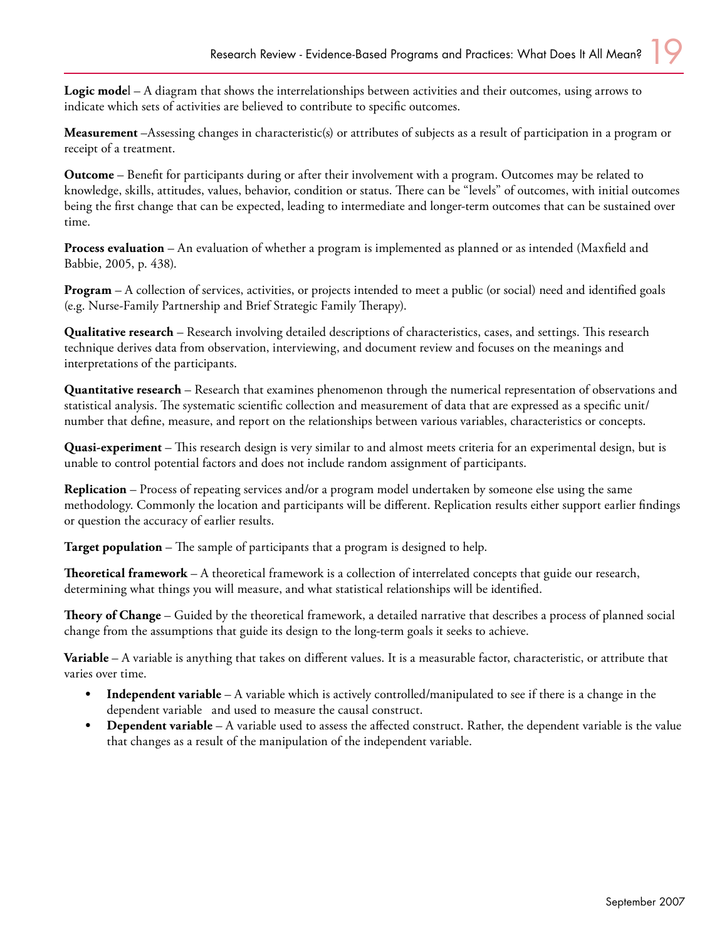**Logic mode**l – A diagram that shows the interrelationships between activities and their outcomes, using arrows to indicate which sets of activities are believed to contribute to specific outcomes.

**Measurement** –Assessing changes in characteristic(s) or attributes of subjects as a result of participation in a program or receipt of a treatment.

**Outcome** – Benefit for participants during or after their involvement with a program. Outcomes may be related to knowledge, skills, attitudes, values, behavior, condition or status. There can be "levels" of outcomes, with initial outcomes being the first change that can be expected, leading to intermediate and longer-term outcomes that can be sustained over time.

**Process evaluation** – An evaluation of whether a program is implemented as planned or as intended (Maxfield and Babbie, 2005, p. 438).

**Program** – A collection of services, activities, or projects intended to meet a public (or social) need and identified goals (e.g. Nurse-Family Partnership and Brief Strategic Family Therapy).

**Qualitative research** – Research involving detailed descriptions of characteristics, cases, and settings. This research technique derives data from observation, interviewing, and document review and focuses on the meanings and interpretations of the participants.

**Quantitative research** – Research that examines phenomenon through the numerical representation of observations and statistical analysis. The systematic scientific collection and measurement of data that are expressed as a specific unit/ number that define, measure, and report on the relationships between various variables, characteristics or concepts.

**Quasi-experiment** – This research design is very similar to and almost meets criteria for an experimental design, but is unable to control potential factors and does not include random assignment of participants.

**Replication** – Process of repeating services and/or a program model undertaken by someone else using the same methodology. Commonly the location and participants will be different. Replication results either support earlier findings or question the accuracy of earlier results.

**Target population** – The sample of participants that a program is designed to help.

**Theoretical framework** – A theoretical framework is a collection of interrelated concepts that guide our research, determining what things you will measure, and what statistical relationships will be identified.

**Theory of Change** – Guided by the theoretical framework, a detailed narrative that describes a process of planned social change from the assumptions that guide its design to the long-term goals it seeks to achieve.

**Variable** – A variable is anything that takes on different values. It is a measurable factor, characteristic, or attribute that varies over time.

- **Independent variable** A variable which is actively controlled/manipulated to see if there is a change in the dependent variable and used to measure the causal construct. **•**
- **Dependent variable** A variable used to assess the affected construct. Rather, the dependent variable is the value that changes as a result of the manipulation of the independent variable. **•**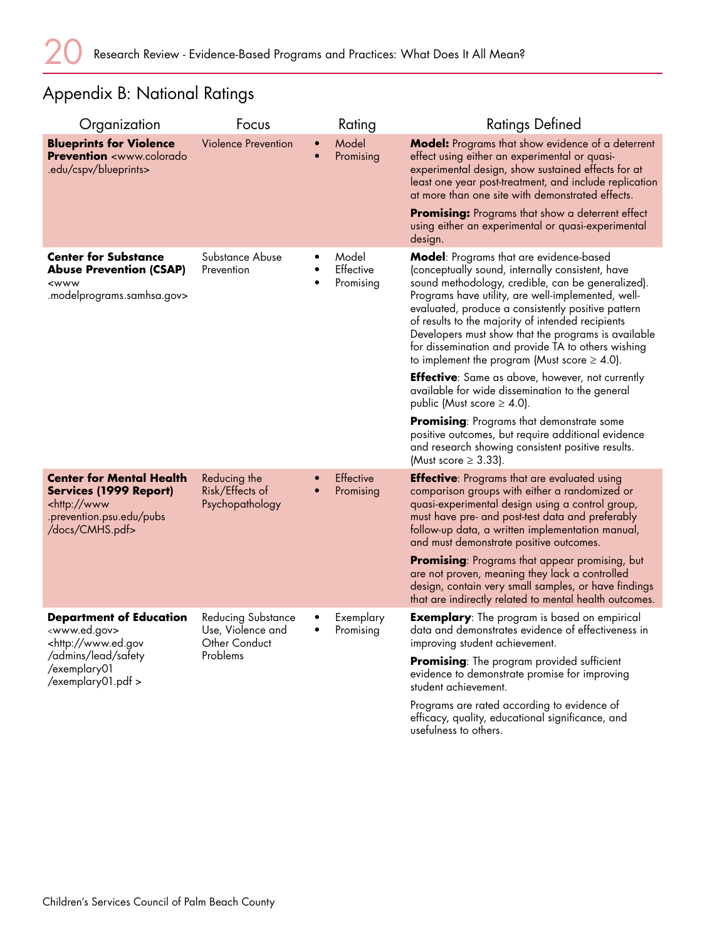# Appendix B: National Ratings

| Organization                                                                                                                                                   | Focus                                                                       |                        | Rating                                 | <b>Ratings Defined</b>                                                                                                                                                                                                                                                                                                                                                                                                                                                                     |
|----------------------------------------------------------------------------------------------------------------------------------------------------------------|-----------------------------------------------------------------------------|------------------------|----------------------------------------|--------------------------------------------------------------------------------------------------------------------------------------------------------------------------------------------------------------------------------------------------------------------------------------------------------------------------------------------------------------------------------------------------------------------------------------------------------------------------------------------|
| <b>Blueprints for Violence</b><br><b>Prevention</b> <www.colorado<br>.edu/cspv/blueprints&gt;</www.colorado<br>                                                | <b>Violence Prevention</b>                                                  | $\bullet$              | Model<br>Promising                     | Model: Programs that show evidence of a deterrent<br>effect using either an experimental or quasi-<br>experimental design, show sustained effects for at<br>least one year post-treatment, and include replication<br>at more than one site with demonstrated effects.                                                                                                                                                                                                                     |
|                                                                                                                                                                |                                                                             |                        |                                        | Promising: Programs that show a deterrent effect<br>using either an experimental or quasi-experimental<br>design.                                                                                                                                                                                                                                                                                                                                                                          |
| <b>Center for Substance</b><br><b>Abuse Prevention (CSAP)</b><br><www<br>.modelprograms.samhsa.gov&gt;</www<br>                                                | Substance Abuse<br>Prevention                                               | ٠                      | Model<br><b>Effective</b><br>Promising | <b>Model:</b> Programs that are evidence-based<br>(conceptually sound, internally consistent, have<br>sound methodology, credible, can be generalized).<br>Programs have utility, are well-implemented, well-<br>evaluated, produce a consistently positive pattern<br>of results to the majority of intended recipients<br>Developers must show that the programs is available<br>for dissemination and provide TA to others wishing<br>to implement the program (Must score $\geq$ 4.0). |
|                                                                                                                                                                |                                                                             |                        |                                        | <b>Effective:</b> Same as above, however, not currently<br>available for wide dissemination to the general<br>public (Must score $\geq$ 4.0).                                                                                                                                                                                                                                                                                                                                              |
|                                                                                                                                                                |                                                                             |                        |                                        | <b>Promising:</b> Programs that demonstrate some<br>positive outcomes, but require additional evidence<br>and research showing consistent positive results.<br>(Must score $\geq$ 3.33).                                                                                                                                                                                                                                                                                                   |
| <b>Center for Mental Health</b><br><b>Services (1999 Report)</b><br><http: www<br="">.prevention.psu.edu/pubs<br/>/docs/CMHS.pdf&gt;</http:>                   | Reducing the<br>Risk/Effects of<br>Psychopathology                          | $\bullet$<br>$\bullet$ | <b>Effective</b><br>Promising          | <b>Effective:</b> Programs that are evaluated using<br>comparison groups with either a randomized or<br>quasi-experimental design using a control group,<br>must have pre- and post-test data and preferably<br>follow-up data, a written implementation manual,<br>and must demonstrate positive outcomes.                                                                                                                                                                                |
|                                                                                                                                                                |                                                                             |                        |                                        | <b>Promising:</b> Programs that appear promising, but<br>are not proven, meaning they lack a controlled<br>design, contain very small samples, or have findings<br>that are indirectly related to mental health outcomes.                                                                                                                                                                                                                                                                  |
| <b>Department of Education</b><br><www.ed.gov><br/><http: www.ed.gov<br="">/admins/lead/safety<br/>/exemplary01<br/>/exemplary01.pdf &gt;</http:></www.ed.gov> | <b>Reducing Substance</b><br>Use, Violence and<br>Other Conduct<br>Problems | $\bullet$<br>٠         | Exemplary<br>Promising                 | <b>Exemplary:</b> The program is based on empirical<br>data and demonstrates evidence of effectiveness in<br>improving student achievement.                                                                                                                                                                                                                                                                                                                                                |
|                                                                                                                                                                |                                                                             |                        |                                        | <b>Promising:</b> The program provided sufficient<br>evidence to demonstrate promise for improving<br>student achievement.                                                                                                                                                                                                                                                                                                                                                                 |
|                                                                                                                                                                |                                                                             |                        |                                        | Programs are rated according to evidence of<br>efficacy, quality, educational significance, and<br>usefulness to others.                                                                                                                                                                                                                                                                                                                                                                   |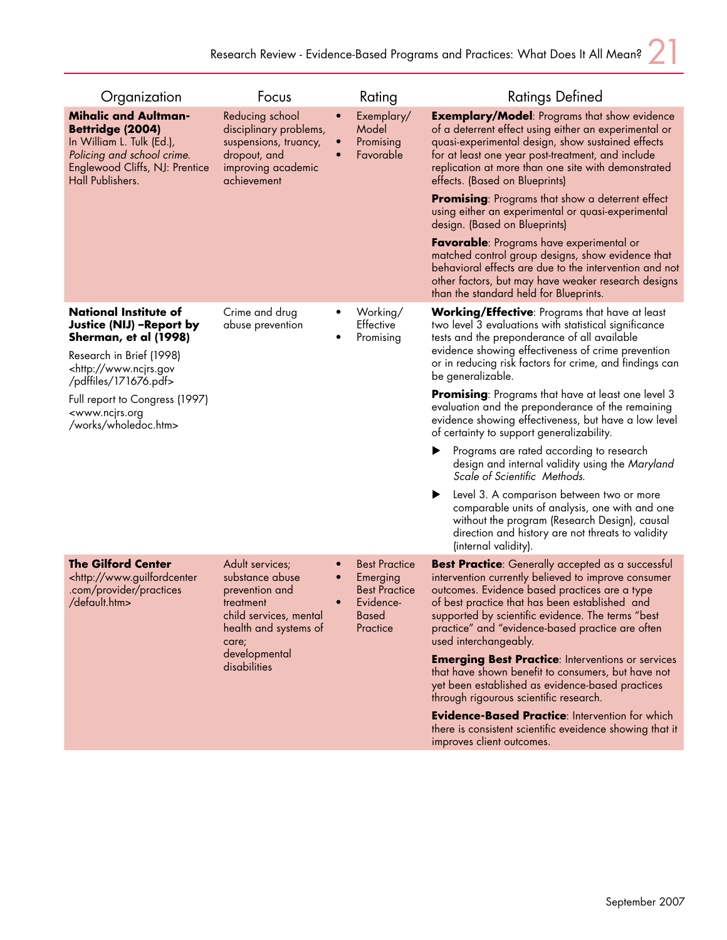| Organization                                                                                                                                                                                                                                                                                | Focus                                                                                                                   |                                                                                                   | Rating                                                                                                                                                                                                                                                                                                                                               | <b>Ratings Defined</b>                                                                                                                                                                                                                                                                                                                                                     |
|---------------------------------------------------------------------------------------------------------------------------------------------------------------------------------------------------------------------------------------------------------------------------------------------|-------------------------------------------------------------------------------------------------------------------------|---------------------------------------------------------------------------------------------------|------------------------------------------------------------------------------------------------------------------------------------------------------------------------------------------------------------------------------------------------------------------------------------------------------------------------------------------------------|----------------------------------------------------------------------------------------------------------------------------------------------------------------------------------------------------------------------------------------------------------------------------------------------------------------------------------------------------------------------------|
| <b>Mihalic and Aultman-</b><br>Bettridge (2004)<br>In William L. Tulk (Ed.),<br>Policing and school crime.<br>Englewood Cliffs, NJ: Prentice<br>Hall Publishers.                                                                                                                            | Reducing school<br>disciplinary problems,<br>suspensions, truancy,<br>dropout, and<br>improving academic<br>achievement | $\bullet$<br>$\bullet$<br>$\bullet$                                                               | Exemplary/<br>Model<br>Promising<br>Favorable                                                                                                                                                                                                                                                                                                        | <b>Exemplary/Model:</b> Programs that show evidence<br>of a deterrent effect using either an experimental or<br>quasi-experimental design, show sustained effects<br>for at least one year post-treatment, and include<br>replication at more than one site with demonstrated<br>effects. (Based on Blueprints)<br><b>Promising:</b> Programs that show a deterrent effect |
|                                                                                                                                                                                                                                                                                             |                                                                                                                         |                                                                                                   |                                                                                                                                                                                                                                                                                                                                                      | using either an experimental or quasi-experimental<br>design. (Based on Blueprints)<br><b>Favorable:</b> Programs have experimental or                                                                                                                                                                                                                                     |
|                                                                                                                                                                                                                                                                                             |                                                                                                                         |                                                                                                   |                                                                                                                                                                                                                                                                                                                                                      | matched control group designs, show evidence that<br>behavioral effects are due to the intervention and not<br>other factors, but may have weaker research designs<br>than the standard held for Blueprints.                                                                                                                                                               |
| National Institute of<br>Justice (NIJ) - Report by<br>Sherman, et al (1998)<br>Research in Brief (1998)<br><http: www.ncjrs.gov<br="">/pdffiles/171676.pdf&gt;</http:>                                                                                                                      | Crime and drug<br>abuse prevention                                                                                      |                                                                                                   | Working/<br>Effective<br>Promising                                                                                                                                                                                                                                                                                                                   | <b>Working/Effective:</b> Programs that have at least<br>two level 3 evaluations with statistical significance<br>tests and the preponderance of all available<br>evidence showing effectiveness of crime prevention<br>or in reducing risk factors for crime, and findings can<br>be generalizable.                                                                       |
| Full report to Congress (1997)<br><www.ncjrs.org<br>/works/wholedoc.htm&gt;</www.ncjrs.org<br>                                                                                                                                                                                              |                                                                                                                         |                                                                                                   | <b>Promising:</b> Programs that have at least one level 3<br>evaluation and the preponderance of the remaining<br>evidence showing effectiveness, but have a low level<br>of certainty to support generalizability.                                                                                                                                  |                                                                                                                                                                                                                                                                                                                                                                            |
|                                                                                                                                                                                                                                                                                             |                                                                                                                         |                                                                                                   |                                                                                                                                                                                                                                                                                                                                                      | Programs are rated according to research<br>design and internal validity using the Maryland<br>Scale of Scientific Methods.                                                                                                                                                                                                                                                |
|                                                                                                                                                                                                                                                                                             |                                                                                                                         |                                                                                                   | Level 3. A comparison between two or more<br>▶<br>comparable units of analysis, one with and one<br>without the program (Research Design), causal<br>direction and history are not threats to validity<br>(internal validity).                                                                                                                       |                                                                                                                                                                                                                                                                                                                                                                            |
| <b>The Gilford Center</b><br>Adult services;<br><http: www.guilfordcenter<br="">substance abuse<br/>.com/provider/practices<br/>prevention and<br/>/default.htm&gt;<br/>treatment<br/>child services, mental<br/>health and systems of<br/>care;<br/>developmental<br/>disabilities</http:> | $\bullet$<br>$\bullet$<br>$\bullet$                                                                                     | <b>Best Practice</b><br>Emerging<br><b>Best Practice</b><br>Evidence-<br><b>Based</b><br>Practice | <b>Best Practice:</b> Generally accepted as a successful<br>intervention currently believed to improve consumer<br>outcomes. Evidence based practices are a type<br>of best practice that has been established and<br>supported by scientific evidence. The terms "best<br>practice" and "evidence-based practice are often<br>used interchangeably. |                                                                                                                                                                                                                                                                                                                                                                            |
|                                                                                                                                                                                                                                                                                             |                                                                                                                         |                                                                                                   |                                                                                                                                                                                                                                                                                                                                                      | <b>Emerging Best Practice: Interventions or services</b><br>that have shown benefit to consumers, but have not<br>yet been established as evidence-based practices<br>through rigourous scientific research.                                                                                                                                                               |
|                                                                                                                                                                                                                                                                                             |                                                                                                                         |                                                                                                   |                                                                                                                                                                                                                                                                                                                                                      | <b>Evidence-Based Practice: Intervention for which</b><br>there is consistent scientific eveidence showing that it<br>improves client outcomes.                                                                                                                                                                                                                            |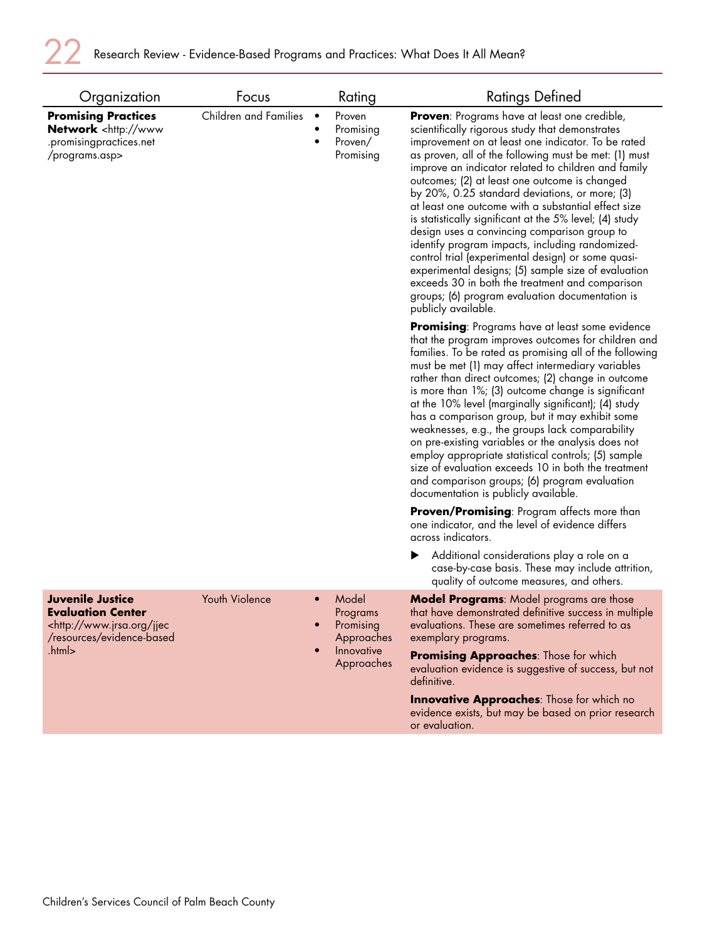| Organization                                                                                                                             | Focus                 |                             | Rating                                                                   | <b>Ratings Defined</b>                                                                                                                                                                                                                                                                                                                                                                                                                                                                                                                                                                                                                                                                                                                                                                                                                         |
|------------------------------------------------------------------------------------------------------------------------------------------|-----------------------|-----------------------------|--------------------------------------------------------------------------|------------------------------------------------------------------------------------------------------------------------------------------------------------------------------------------------------------------------------------------------------------------------------------------------------------------------------------------------------------------------------------------------------------------------------------------------------------------------------------------------------------------------------------------------------------------------------------------------------------------------------------------------------------------------------------------------------------------------------------------------------------------------------------------------------------------------------------------------|
| <b>Promising Practices</b><br><b>Network</b> <http: www<br="">.promisingpractices.net<br/>/programs.asp&gt;</http:>                      | Children and Families | $\bullet$<br>$\bullet$<br>٠ | Proven<br>Promising<br>Proven/<br>Promising                              | <b>Proven:</b> Programs have at least one credible,<br>scientifically rigorous study that demonstrates<br>improvement on at least one indicator. To be rated<br>as proven, all of the following must be met: (1) must<br>improve an indicator related to children and family<br>outcomes; (2) at least one outcome is changed<br>by 20%, 0.25 standard deviations, or more; (3)<br>at least one outcome with a substantial effect size<br>is statistically significant at the 5% level; (4) study<br>design uses a convincing comparison group to<br>identify program impacts, including randomized-<br>control trial (experimental design) or some quasi-<br>experimental designs; (5) sample size of evaluation<br>exceeds 30 in both the treatment and comparison<br>groups; (6) program evaluation documentation is<br>publicly available. |
|                                                                                                                                          |                       |                             |                                                                          | <b>Promising:</b> Programs have at least some evidence<br>that the program improves outcomes for children and<br>families. To be rated as promising all of the following<br>must be met (1) may affect intermediary variables<br>rather than direct outcomes; (2) change in outcome<br>is more than 1%; (3) outcome change is significant<br>at the 10% level (marginally significant); (4) study<br>has a comparison group, but it may exhibit some<br>weaknesses, e.g., the groups lack comparability<br>on pre-existing variables or the analysis does not<br>employ appropriate statistical controls; (5) sample<br>size of evaluation exceeds 10 in both the treatment<br>and comparison groups; (6) program evaluation<br>documentation is publicly available.                                                                           |
|                                                                                                                                          |                       |                             |                                                                          | <b>Proven/Promising:</b> Program affects more than<br>one indicator, and the level of evidence differs<br>across indicators.                                                                                                                                                                                                                                                                                                                                                                                                                                                                                                                                                                                                                                                                                                                   |
|                                                                                                                                          |                       |                             |                                                                          | Additional considerations play a role on a<br>case-by-case basis. These may include attrition,<br>quality of outcome measures, and others.                                                                                                                                                                                                                                                                                                                                                                                                                                                                                                                                                                                                                                                                                                     |
| <b>Juvenile Justice</b><br><b>Evaluation Center</b><br><http: jjec<br="" www.jrsa.org="">/resources/evidence-based<br/>.html&gt;</http:> | Youth Violence        | $\bullet$<br>$\bullet$      | Model<br>Programs<br>Promising<br>Approaches<br>Innovative<br>Approaches | <b>Model Programs:</b> Model programs are those<br>that have demonstrated definitive success in multiple<br>evaluations. These are sometimes referred to as<br>exemplary programs.<br>Promising Approaches: Those for which<br>evaluation evidence is suggestive of success, but not<br>definitive.<br><b>Innovative Approaches:</b> Those for which no<br>evidence exists, but may be based on prior research                                                                                                                                                                                                                                                                                                                                                                                                                                 |
|                                                                                                                                          |                       |                             |                                                                          | or evaluation.                                                                                                                                                                                                                                                                                                                                                                                                                                                                                                                                                                                                                                                                                                                                                                                                                                 |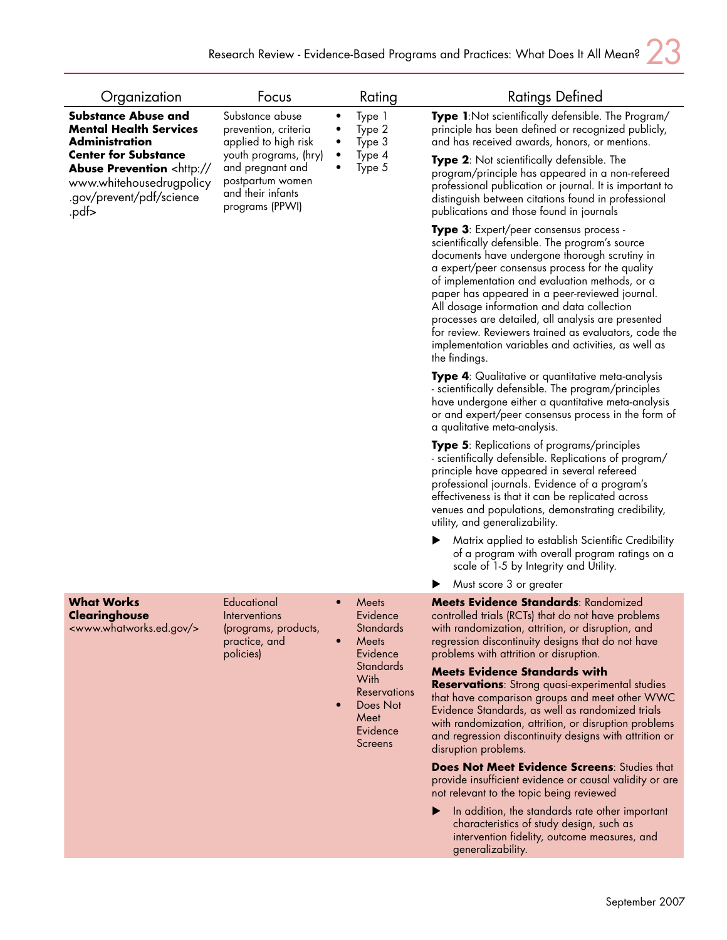| Organization                                                                                                                                         | Focus                                                                                                 |                                     | Rating                                                                                                                                                                                                                                                                                                                                                    | Ratings Defined                                                                                                                                                                                                                                                                                                                                                                                                                                                                                                                                                                            |
|------------------------------------------------------------------------------------------------------------------------------------------------------|-------------------------------------------------------------------------------------------------------|-------------------------------------|-----------------------------------------------------------------------------------------------------------------------------------------------------------------------------------------------------------------------------------------------------------------------------------------------------------------------------------------------------------|--------------------------------------------------------------------------------------------------------------------------------------------------------------------------------------------------------------------------------------------------------------------------------------------------------------------------------------------------------------------------------------------------------------------------------------------------------------------------------------------------------------------------------------------------------------------------------------------|
| <b>Substance Abuse and</b><br><b>Mental Health Services</b><br><b>Administration</b>                                                                 | Substance abuse<br>prevention, criteria<br>applied to high risk                                       | ٠<br>$\bullet$                      | Type 1<br>Type 2<br>Type 3                                                                                                                                                                                                                                                                                                                                | Type 1:Not scientifically defensible. The Program/<br>principle has been defined or recognized publicly,<br>and has received awards, honors, or mentions.                                                                                                                                                                                                                                                                                                                                                                                                                                  |
| <b>Center for Substance</b><br><b>Abuse Prevention <http: <="" b=""><br/>www.whitehousedrugpolicy<br/>.gov/prevent/pdf/science<br/>-pdf.</http:></b> | youth programs, (hry)<br>and pregnant and<br>postpartum women<br>and their infants<br>programs (PPWI) |                                     | Type 4<br>Type 5                                                                                                                                                                                                                                                                                                                                          | <b>Type 2:</b> Not scientifically defensible. The<br>program/principle has appeared in a non-refereed<br>professional publication or journal. It is important to<br>distinguish between citations found in professional<br>publications and those found in journals                                                                                                                                                                                                                                                                                                                        |
|                                                                                                                                                      |                                                                                                       |                                     |                                                                                                                                                                                                                                                                                                                                                           | <b>Type 3</b> : Expert/peer consensus process -<br>scientifically defensible. The program's source<br>documents have undergone thorough scrutiny in<br>a expert/peer consensus process for the quality<br>of implementation and evaluation methods, or a<br>paper has appeared in a peer-reviewed journal.<br>All dosage information and data collection<br>processes are detailed, all analysis are presented<br>for review. Reviewers trained as evaluators, code the<br>implementation variables and activities, as well as<br>the findings.                                            |
|                                                                                                                                                      |                                                                                                       |                                     | Type 4: Qualitative or quantitative meta-analysis<br>- scientifically defensible. The program/principles<br>have undergone either a quantitative meta-analysis<br>or and expert/peer consensus process in the form of<br>a qualitative meta-analysis.                                                                                                     |                                                                                                                                                                                                                                                                                                                                                                                                                                                                                                                                                                                            |
|                                                                                                                                                      |                                                                                                       |                                     | <b>Type 5:</b> Replications of programs/principles<br>- scientifically defensible. Replications of program/<br>principle have appeared in several refereed<br>professional journals. Evidence of a program's<br>effectiveness is that it can be replicated across<br>venues and populations, demonstrating credibility,<br>utility, and generalizability. |                                                                                                                                                                                                                                                                                                                                                                                                                                                                                                                                                                                            |
|                                                                                                                                                      |                                                                                                       |                                     |                                                                                                                                                                                                                                                                                                                                                           | Matrix applied to establish Scientific Credibility<br>of a program with overall program ratings on a<br>scale of 1-5 by Integrity and Utility.                                                                                                                                                                                                                                                                                                                                                                                                                                             |
|                                                                                                                                                      |                                                                                                       |                                     |                                                                                                                                                                                                                                                                                                                                                           | Must score 3 or greater                                                                                                                                                                                                                                                                                                                                                                                                                                                                                                                                                                    |
| <b>What Works</b><br><b>Clearinghouse</b><br><www.whatworks.ed.gov></www.whatworks.ed.gov>                                                           | Educational<br>Interventions<br>(programs, products,<br>practice, and<br>policies)                    | $\bullet$<br>$\bullet$<br>$\bullet$ | Meets<br>Evidence<br><b>Standards</b><br>Meets<br>Evidence<br><b>Standards</b><br>With<br><b>Reservations</b><br>Does Not<br>Meet<br>Evidence<br>Screens                                                                                                                                                                                                  | Meets Evidence Standards: Randomized<br>controlled trials (RCTs) that do not have problems<br>with randomization, attrition, or disruption, and<br>regression discontinuity designs that do not have<br>problems with attrition or disruption.<br><b>Meets Evidence Standards with</b><br>Reservations: Strong quasi-experimental studies<br>that have comparison groups and meet other WWC<br>Evidence Standards, as well as randomized trials<br>with randomization, attrition, or disruption problems<br>and regression discontinuity designs with attrition or<br>disruption problems. |
|                                                                                                                                                      |                                                                                                       |                                     | Does Not Meet Evidence Screens: Studies that<br>provide insufficient evidence or causal validity or are<br>not relevant to the topic being reviewed                                                                                                                                                                                                       |                                                                                                                                                                                                                                                                                                                                                                                                                                                                                                                                                                                            |
|                                                                                                                                                      |                                                                                                       |                                     |                                                                                                                                                                                                                                                                                                                                                           | In addition, the standards rate other important<br>characteristics of study design, such as<br>intervention fidelity, outcome measures, and<br>generalizability.                                                                                                                                                                                                                                                                                                                                                                                                                           |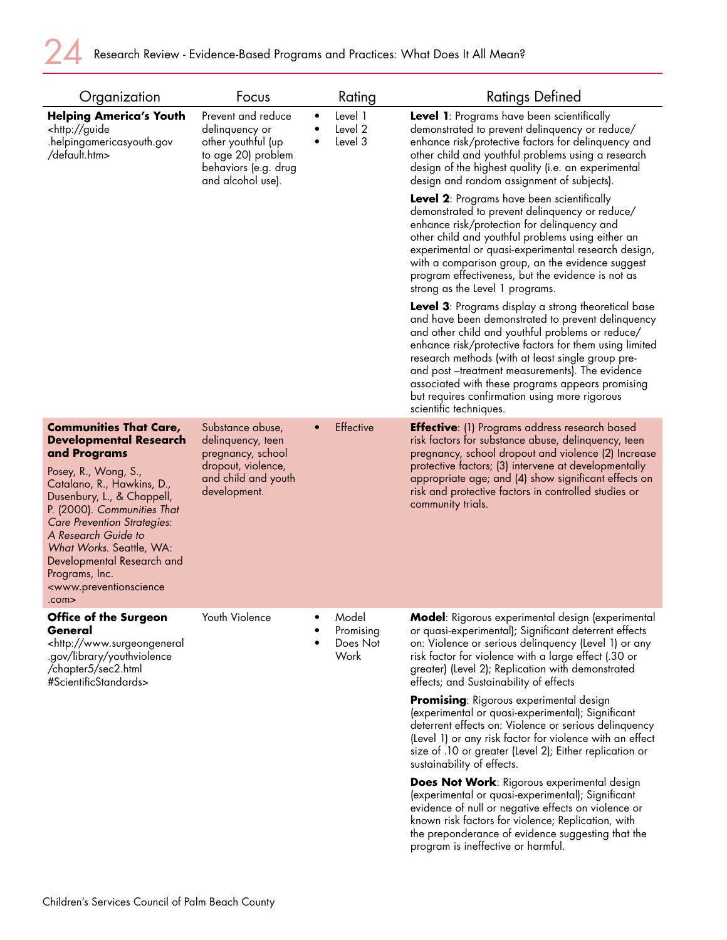| Organization                                                                                                                                                                                                                                                                                                                                                                                         | Focus                                                                                                                         |           | Rating                                 | <b>Ratings Defined</b>                                                                                                                                                                                                                                                                                                                                                                                                                                               |
|------------------------------------------------------------------------------------------------------------------------------------------------------------------------------------------------------------------------------------------------------------------------------------------------------------------------------------------------------------------------------------------------------|-------------------------------------------------------------------------------------------------------------------------------|-----------|----------------------------------------|----------------------------------------------------------------------------------------------------------------------------------------------------------------------------------------------------------------------------------------------------------------------------------------------------------------------------------------------------------------------------------------------------------------------------------------------------------------------|
| <b>Helping America's Youth</b><br><http: guide<br="">.helpingamericasyouth.gov<br/>/default.htm&gt;</http:>                                                                                                                                                                                                                                                                                          | Prevent and reduce<br>delinquency or<br>other youthful (up<br>to age 20) problem<br>behaviors (e.g. drug<br>and alcohol use). | $\bullet$ | Level 1<br>Level 2<br>Level 3          | Level 1: Programs have been scientifically<br>demonstrated to prevent delinquency or reduce/<br>enhance risk/protective factors for delinquency and<br>other child and youthful problems using a research<br>design of the highest quality (i.e. an experimental<br>design and random assignment of subjects).<br><b>Level 2:</b> Programs have been scientifically<br>demonstrated to prevent delinquency or reduce/<br>enhance risk/protection for delinquency and |
|                                                                                                                                                                                                                                                                                                                                                                                                      |                                                                                                                               |           |                                        | other child and youthful problems using either an<br>experimental or quasi-experimental research design,<br>with a comparison group, an the evidence suggest<br>program effectiveness, but the evidence is not as<br>strong as the Level 1 programs.                                                                                                                                                                                                                 |
|                                                                                                                                                                                                                                                                                                                                                                                                      |                                                                                                                               |           |                                        | <b>Level 3:</b> Programs display a strong theoretical base<br>and have been demonstrated to prevent delinquency<br>and other child and youthful problems or reduce/<br>enhance risk/protective factors for them using limited<br>research methods (with at least single group pre-<br>and post-treatment measurements). The evidence<br>associated with these programs appears promising<br>but requires confirmation using more rigorous<br>scientific techniques.  |
| <b>Communities That Care,</b><br><b>Developmental Research</b><br>and Programs<br>Posey, R., Wong, S.,<br>Catalano, R., Hawkins, D.,<br>Dusenbury, L., & Chappell,<br>P. (2000). Communities That<br>Care Prevention Strategies:<br>A Research Guide to<br>What Works. Seattle, WA:<br>Developmental Research and<br>Programs, Inc.<br><www.preventionscience<br>.com&gt;</www.preventionscience<br> | Substance abuse,<br>delinquency, teen<br>pregnancy, school<br>dropout, violence,<br>and child and youth<br>development.       |           | Effective                              | <b>Effective:</b> (1) Programs address research based<br>risk factors for substance abuse, delinquency, teen<br>pregnancy, school dropout and violence (2) Increase<br>protective factors; (3) intervene at developmentally<br>appropriate age; and (4) show significant effects on<br>risk and protective factors in controlled studies or<br>community trials.                                                                                                     |
| Office of the Surgeon<br>General<br><http: www.surgeongeneral<br="">.gov/library/youthviolence<br/>/chapter5/sec2.html<br/>#ScientificStandards&gt;</http:>                                                                                                                                                                                                                                          | Youth Violence                                                                                                                |           | Model<br>Promising<br>Does Not<br>Work | Model: Rigorous experimental design (experimental<br>or quasi-experimental); Significant deterrent effects<br>on: Violence or serious delinquency (Level 1) or any<br>risk factor for violence with a large effect (.30 or<br>greater) (Level 2); Replication with demonstrated<br>effects; and Sustainability of effects                                                                                                                                            |
|                                                                                                                                                                                                                                                                                                                                                                                                      |                                                                                                                               |           |                                        | Promising: Rigorous experimental design<br>(experimental or quasi-experimental); Significant<br>deterrent effects on: Violence or serious delinquency<br>(Level 1) or any risk factor for violence with an effect<br>size of .10 or greater (Level 2); Either replication or<br>sustainability of effects.                                                                                                                                                           |
|                                                                                                                                                                                                                                                                                                                                                                                                      |                                                                                                                               |           |                                        | <b>Does Not Work: Rigorous experimental design</b><br>(experimental or quasi-experimental); Significant<br>evidence of null or negative effects on violence or<br>known risk factors for violence; Replication, with<br>the preponderance of evidence suggesting that the<br>program is ineffective or harmful.                                                                                                                                                      |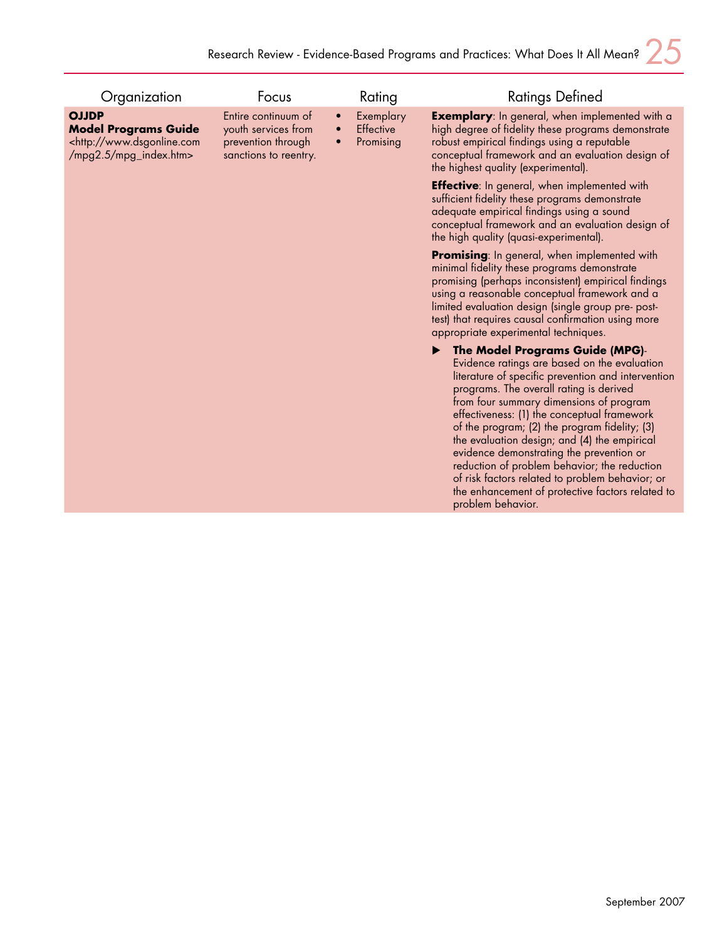| Organization                                                                                                    | Focus                                                                                     |           | Rating                              | <b>Ratings Defined</b>                                                                                                                                                                                                                                                                                                                                                                                                                                                                                                                                                                              |
|-----------------------------------------------------------------------------------------------------------------|-------------------------------------------------------------------------------------------|-----------|-------------------------------------|-----------------------------------------------------------------------------------------------------------------------------------------------------------------------------------------------------------------------------------------------------------------------------------------------------------------------------------------------------------------------------------------------------------------------------------------------------------------------------------------------------------------------------------------------------------------------------------------------------|
| <b>OJJDP</b><br><b>Model Programs Guide</b><br><http: www.dsgonline.com<br="">/mpg2.5/mpg_index.htm&gt;</http:> | Entire continuum of<br>youth services from<br>prevention through<br>sanctions to reentry. | $\bullet$ | Exemplary<br>Effective<br>Promising | <b>Exemplary:</b> In general, when implemented with a<br>high degree of fidelity these programs demonstrate<br>robust empirical findings using a reputable<br>conceptual framework and an evaluation design of<br>the highest quality (experimental).                                                                                                                                                                                                                                                                                                                                               |
|                                                                                                                 |                                                                                           |           |                                     | <b>Effective:</b> In general, when implemented with<br>sufficient fidelity these programs demonstrate<br>adequate empirical findings using a sound<br>conceptual framework and an evaluation design of<br>the high quality (quasi-experimental).                                                                                                                                                                                                                                                                                                                                                    |
|                                                                                                                 |                                                                                           |           |                                     | <b>Promising:</b> In general, when implemented with<br>minimal fidelity these programs demonstrate<br>promising (perhaps inconsistent) empirical findings<br>using a reasonable conceptual framework and a<br>limited evaluation design (single group pre- post-<br>test) that requires causal confirmation using more<br>appropriate experimental techniques.                                                                                                                                                                                                                                      |
|                                                                                                                 |                                                                                           |           |                                     | The Model Programs Guide (MPG)-<br>Evidence ratings are based on the evaluation<br>literature of specific prevention and intervention<br>programs. The overall rating is derived<br>from four summary dimensions of program<br>effectiveness: (1) the conceptual framework<br>of the program; (2) the program fidelity; (3)<br>the evaluation design; and (4) the empirical<br>evidence demonstrating the prevention or<br>reduction of problem behavior; the reduction<br>of risk factors related to problem behavior; or<br>the enhancement of protective factors related to<br>problem behavior. |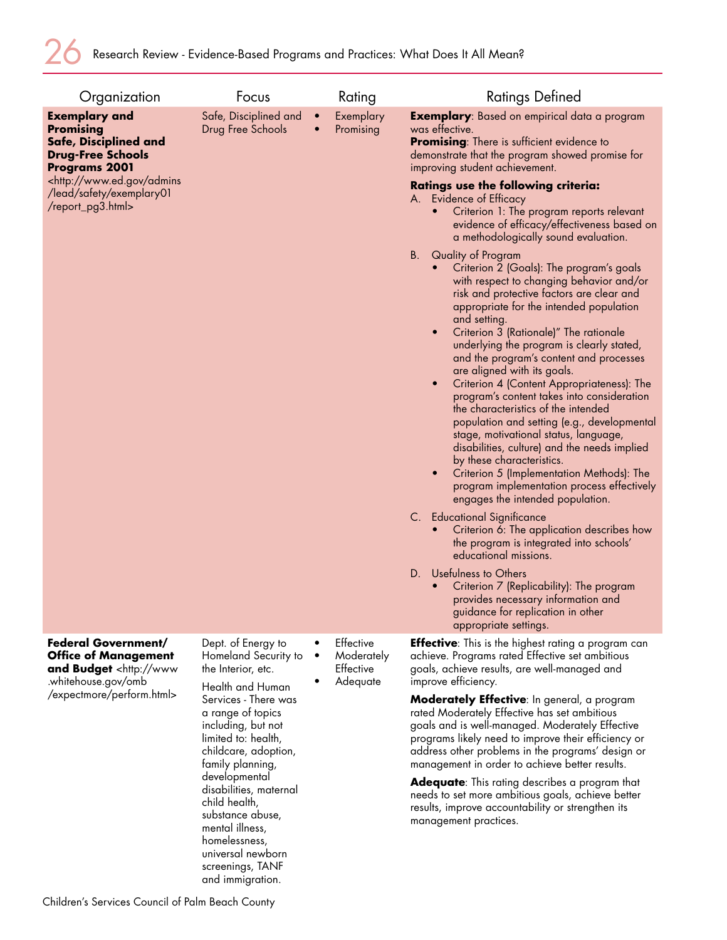| Organization                                                                                                                                                                                                         | Focus                                                                                                                                                                                                                                                                                                                                                               |                        | Rating                                           | <b>Ratings Defined</b>                                                                                                                                                                                                                                                                                                                                                                                                                                                                                                                                                                                                                                                                                                                                                                                                                                                                                                                                                                                                                                                                                                                                                                                                                                                                                                                                                                                                                                                                                                                                                                                                                 |
|----------------------------------------------------------------------------------------------------------------------------------------------------------------------------------------------------------------------|---------------------------------------------------------------------------------------------------------------------------------------------------------------------------------------------------------------------------------------------------------------------------------------------------------------------------------------------------------------------|------------------------|--------------------------------------------------|----------------------------------------------------------------------------------------------------------------------------------------------------------------------------------------------------------------------------------------------------------------------------------------------------------------------------------------------------------------------------------------------------------------------------------------------------------------------------------------------------------------------------------------------------------------------------------------------------------------------------------------------------------------------------------------------------------------------------------------------------------------------------------------------------------------------------------------------------------------------------------------------------------------------------------------------------------------------------------------------------------------------------------------------------------------------------------------------------------------------------------------------------------------------------------------------------------------------------------------------------------------------------------------------------------------------------------------------------------------------------------------------------------------------------------------------------------------------------------------------------------------------------------------------------------------------------------------------------------------------------------------|
| <b>Exemplary and</b><br><b>Promising</b><br>Safe, Disciplined and<br><b>Drug-Free Schools</b><br><b>Programs 2001</b><br><http: admins<br="" www.ed.gov="">/lead/safety/exemplary01<br/>/report_pg3.html&gt;</http:> | Safe, Disciplined and<br>Drug Free Schools                                                                                                                                                                                                                                                                                                                          | $\bullet$<br>$\bullet$ | Exemplary<br>Promising                           | <b>Exemplary:</b> Based on empirical data a program<br>was effective.<br><b>Promising:</b> There is sufficient evidence to<br>demonstrate that the program showed promise for<br>improving student achievement.<br><b>Ratings use the following criteria:</b><br>A. Evidence of Efficacy<br>Criterion 1: The program reports relevant<br>evidence of efficacy/effectiveness based on<br>a methodologically sound evaluation.<br>В.<br>Quality of Program<br>Criterion 2 (Goals): The program's goals<br>with respect to changing behavior and/or<br>risk and protective factors are clear and<br>appropriate for the intended population<br>and setting.<br>Criterion 3 (Rationale)" The rationale<br>$\bullet$<br>underlying the program is clearly stated,<br>and the program's content and processes<br>are aligned with its goals.<br>Criterion 4 (Content Appropriateness): The<br>$\bullet$<br>program's content takes into consideration<br>the characteristics of the intended<br>population and setting (e.g., developmental<br>stage, motivational status, language,<br>disabilities, culture) and the needs implied<br>by these characteristics.<br>$\bullet$<br>Criterion 5 (Implementation Methods): The<br>program implementation process effectively<br>engages the intended population.<br>C. Educational Significance<br>Criterion 6: The application describes how<br>the program is integrated into schools'<br>educational missions.<br>Usefulness to Others<br>D.<br>Criterion 7 (Replicability): The program<br>provides necessary information and<br>guidance for replication in other<br>appropriate settings. |
| <b>Federal Government/</b><br><b>Office of Management</b><br>and Budget <http: www<br="">.whitehouse.gov/omb<br/>/expectmore/perform.html&gt;</http:>                                                                | Dept. of Energy to<br>Homeland Security to<br>the Interior, etc.<br>Health and Human<br>Services - There was<br>a range of topics<br>including, but not<br>limited to: health,<br>childcare, adoption,<br>family planning,<br>developmental<br>disabilities, maternal<br>child health,<br>substance abuse,<br>mental illness,<br>homelessness,<br>universal newborn | $\bullet$<br>$\bullet$ | Effective<br>Moderately<br>Effective<br>Adequate | <b>Effective:</b> This is the highest rating a program can<br>achieve. Programs rated Effective set ambitious<br>goals, achieve results, are well-managed and<br>improve efficiency.<br>Moderately Effective: In general, a program<br>rated Moderately Effective has set ambitious<br>goals and is well-managed. Moderately Effective<br>programs likely need to improve their efficiency or<br>address other problems in the programs' design or<br>management in order to achieve better results.<br><b>Adequate:</b> This rating describes a program that<br>needs to set more ambitious goals, achieve better<br>results, improve accountability or strengthen its<br>management practices.                                                                                                                                                                                                                                                                                                                                                                                                                                                                                                                                                                                                                                                                                                                                                                                                                                                                                                                                       |

screenings, TANF and immigration.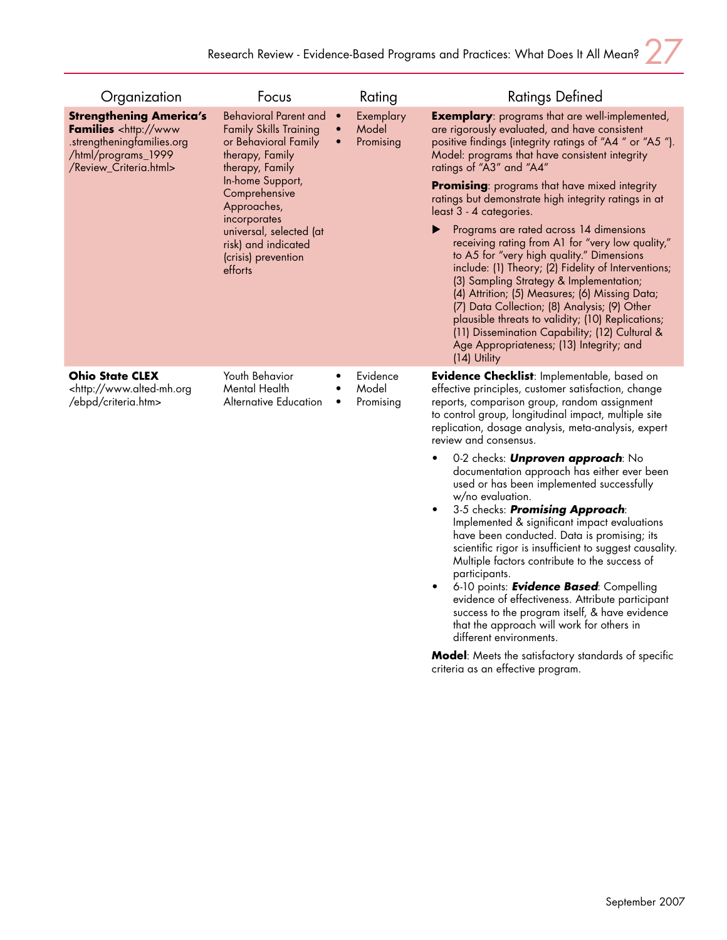| Organization                                                                                                                                         | Focus                                                                                                                                                                                                                                                                               |                                     | Rating                          | <b>Ratings Defined</b>                                                                                                                                                                                                                                                                                                                                                                                                                                                                                                                                                                                                                                                                                                                                                                                                                                                                                |
|------------------------------------------------------------------------------------------------------------------------------------------------------|-------------------------------------------------------------------------------------------------------------------------------------------------------------------------------------------------------------------------------------------------------------------------------------|-------------------------------------|---------------------------------|-------------------------------------------------------------------------------------------------------------------------------------------------------------------------------------------------------------------------------------------------------------------------------------------------------------------------------------------------------------------------------------------------------------------------------------------------------------------------------------------------------------------------------------------------------------------------------------------------------------------------------------------------------------------------------------------------------------------------------------------------------------------------------------------------------------------------------------------------------------------------------------------------------|
| <b>Strengthening America's</b><br>Families <http: www<br="">.strengtheningfamilies.org<br/>/html/programs_1999<br/>/Review_Criteria.html&gt;</http:> | <b>Behavioral Parent and</b><br><b>Family Skills Training</b><br>or Behavioral Family<br>therapy, Family<br>therapy, Family<br>In-home Support,<br>Comprehensive<br>Approaches,<br>incorporates<br>universal, selected (at<br>risk) and indicated<br>(crisis) prevention<br>efforts | $\bullet$<br>$\bullet$<br>$\bullet$ | Exemplary<br>Model<br>Promising | <b>Exemplary:</b> programs that are well-implemented,<br>are rigorously evaluated, and have consistent<br>positive findings (integrity ratings of "A4" or "A5").<br>Model: programs that have consistent integrity<br>ratings of "A3" and "A4"<br>Promising: programs that have mixed integrity<br>ratings but demonstrate high integrity ratings in at<br>least 3 - 4 categories.<br>Programs are rated across 14 dimensions<br>receiving rating from A1 for "very low quality,"<br>to A5 for "very high quality." Dimensions<br>include: (1) Theory; (2) Fidelity of Interventions;<br>(3) Sampling Strategy & Implementation;<br>(4) Attrition; (5) Measures; (6) Missing Data;<br>(7) Data Collection; (8) Analysis; (9) Other<br>plausible threats to validity; (10) Replications;<br>(11) Dissemination Capability; (12) Cultural &<br>Age Appropriateness; (13) Integrity; and<br>(14) Utility |
| <b>Ohio State CLEX</b><br><http: www.alted-mh.org<br="">/ebpd/criteria.htm&gt;</http:>                                                               | Youth Behavior<br>Mental Health<br>Alternative Education                                                                                                                                                                                                                            | $\bullet$<br>٠                      | Evidence<br>Model<br>Promising  | <b>Evidence Checklist:</b> Implementable, based on<br>effective principles, customer satisfaction, change<br>reports, comparison group, random assignment<br>to control group, longitudinal impact, multiple site<br>replication, dosage analysis, meta-analysis, expert<br>review and consensus.                                                                                                                                                                                                                                                                                                                                                                                                                                                                                                                                                                                                     |
|                                                                                                                                                      |                                                                                                                                                                                                                                                                                     |                                     |                                 | 0-2 checks: <b>Unproven approach</b> : No<br>documentation approach has either ever been<br>used or has been implemented successfully<br>w/no evaluation.<br>3-5 checks: Promising Approach:<br>Implemented & significant impact evaluations<br>have been conducted. Data is promising; its<br>scientific rigor is insufficient to suggest causality.<br>Multiple factors contribute to the success of<br>participants.<br>6-10 points: <b>Evidence Based</b> : Compelling<br>evidence of effectiveness. Attribute participant<br>success to the program itself, & have evidence<br>that the approach will work for others in<br>different environments.                                                                                                                                                                                                                                              |

**Model**: Meets the satisfactory standards of specific criteria as an effective program.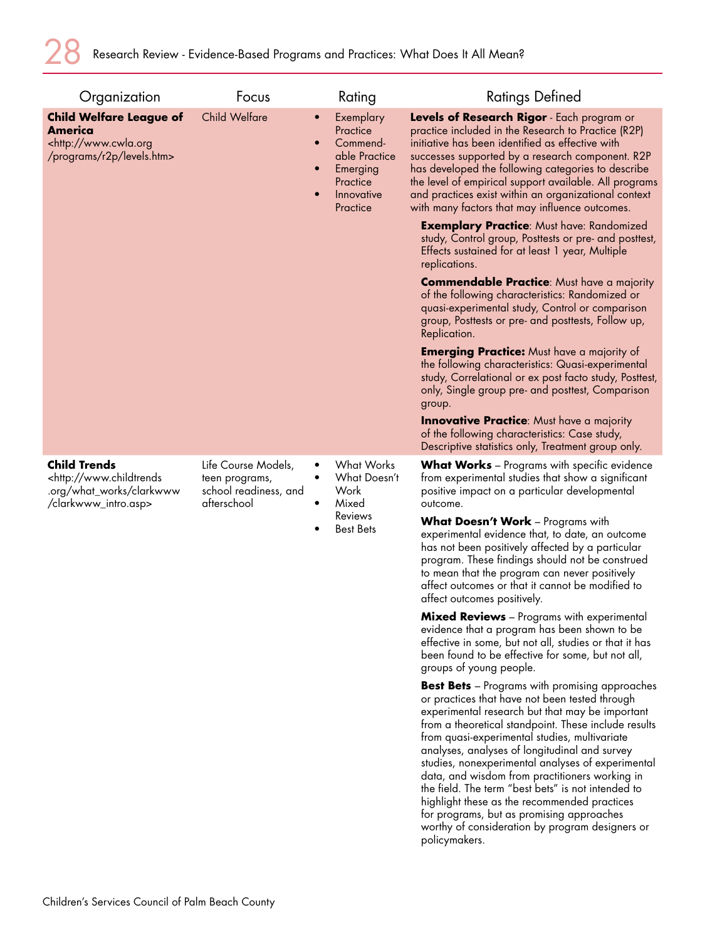| Organization                                                                                                     | Focus                                                                         |                                     | Rating                                                                                                                                                                                                                                                                                                                          | <b>Ratings Defined</b>                                                                                                                                                                                                                                                                                                                                                                                                                                                                                                                                                                                                                             |
|------------------------------------------------------------------------------------------------------------------|-------------------------------------------------------------------------------|-------------------------------------|---------------------------------------------------------------------------------------------------------------------------------------------------------------------------------------------------------------------------------------------------------------------------------------------------------------------------------|----------------------------------------------------------------------------------------------------------------------------------------------------------------------------------------------------------------------------------------------------------------------------------------------------------------------------------------------------------------------------------------------------------------------------------------------------------------------------------------------------------------------------------------------------------------------------------------------------------------------------------------------------|
| <b>Child Welfare League of</b><br>America<br><http: www.cwla.org<br="">/programs/r2p/levels.htm&gt;</http:>      | <b>Child Welfare</b>                                                          | $\bullet$<br>$\bullet$<br>$\bullet$ | Exemplary<br>Practice<br>Commend-<br>able Practice<br>Emerging<br>Practice<br>Innovative<br>Practice                                                                                                                                                                                                                            | Levels of Research Rigor - Each program or<br>practice included in the Research to Practice (R2P)<br>initiative has been identified as effective with<br>successes supported by a research component. R2P<br>has developed the following categories to describe<br>the level of empirical support available. All programs<br>and practices exist within an organizational context<br>with many factors that may influence outcomes.<br><b>Exemplary Practice:</b> Must have: Randomized                                                                                                                                                            |
|                                                                                                                  |                                                                               |                                     |                                                                                                                                                                                                                                                                                                                                 | study, Control group, Posttests or pre- and posttest,<br>Effects sustained for at least 1 year, Multiple<br>replications.                                                                                                                                                                                                                                                                                                                                                                                                                                                                                                                          |
|                                                                                                                  |                                                                               |                                     |                                                                                                                                                                                                                                                                                                                                 | <b>Commendable Practice:</b> Must have a majority<br>of the following characteristics: Randomized or<br>quasi-experimental study, Control or comparison<br>group, Posttests or pre- and posttests, Follow up,<br>Replication.                                                                                                                                                                                                                                                                                                                                                                                                                      |
|                                                                                                                  |                                                                               |                                     |                                                                                                                                                                                                                                                                                                                                 | <b>Emerging Practice:</b> Must have a majority of<br>the following characteristics: Quasi-experimental<br>study, Correlational or ex post facto study, Posttest,<br>only, Single group pre- and posttest, Comparison<br>group.                                                                                                                                                                                                                                                                                                                                                                                                                     |
|                                                                                                                  |                                                                               |                                     |                                                                                                                                                                                                                                                                                                                                 | <b>Innovative Practice:</b> Must have a majority<br>of the following characteristics: Case study,<br>Descriptive statistics only, Treatment group only.                                                                                                                                                                                                                                                                                                                                                                                                                                                                                            |
| <b>Child Trends</b><br><http: www.childtrends<br="">.org/what_works/clarkwww<br/>/clarkwww_intro.asp&gt;</http:> | Life Course Models,<br>teen programs,<br>school readiness, and<br>afterschool | $\bullet$<br>$\bullet$              | <b>What Works</b><br>What Doesn't<br>Work<br>Mixed                                                                                                                                                                                                                                                                              | <b>What Works</b> – Programs with specific evidence<br>from experimental studies that show a significant<br>positive impact on a particular developmental<br>outcome.                                                                                                                                                                                                                                                                                                                                                                                                                                                                              |
|                                                                                                                  |                                                                               | <b>Reviews</b><br><b>Best Bets</b>  | What Doesn't Work - Programs with<br>experimental evidence that, to date, an outcome<br>has not been positively affected by a particular<br>program. These findings should not be construed<br>to mean that the program can never positively<br>affect outcomes or that it cannot be modified to<br>affect outcomes positively. |                                                                                                                                                                                                                                                                                                                                                                                                                                                                                                                                                                                                                                                    |
|                                                                                                                  |                                                                               |                                     |                                                                                                                                                                                                                                                                                                                                 | Mixed Reviews - Programs with experimental<br>evidence that a program has been shown to be<br>effective in some, but not all, studies or that it has<br>been found to be effective for some, but not all,<br>groups of young people.                                                                                                                                                                                                                                                                                                                                                                                                               |
|                                                                                                                  |                                                                               |                                     |                                                                                                                                                                                                                                                                                                                                 | <b>Best Bets</b> - Programs with promising approaches<br>or practices that have not been tested through<br>experimental research but that may be important<br>from a theoretical standpoint. These include results<br>from quasi-experimental studies, multivariate<br>analyses, analyses of longitudinal and survey<br>studies, nonexperimental analyses of experimental<br>data, and wisdom from practitioners working in<br>the field. The term "best bets" is not intended to<br>highlight these as the recommended practices<br>for programs, but as promising approaches<br>worthy of consideration by program designers or<br>policymakers. |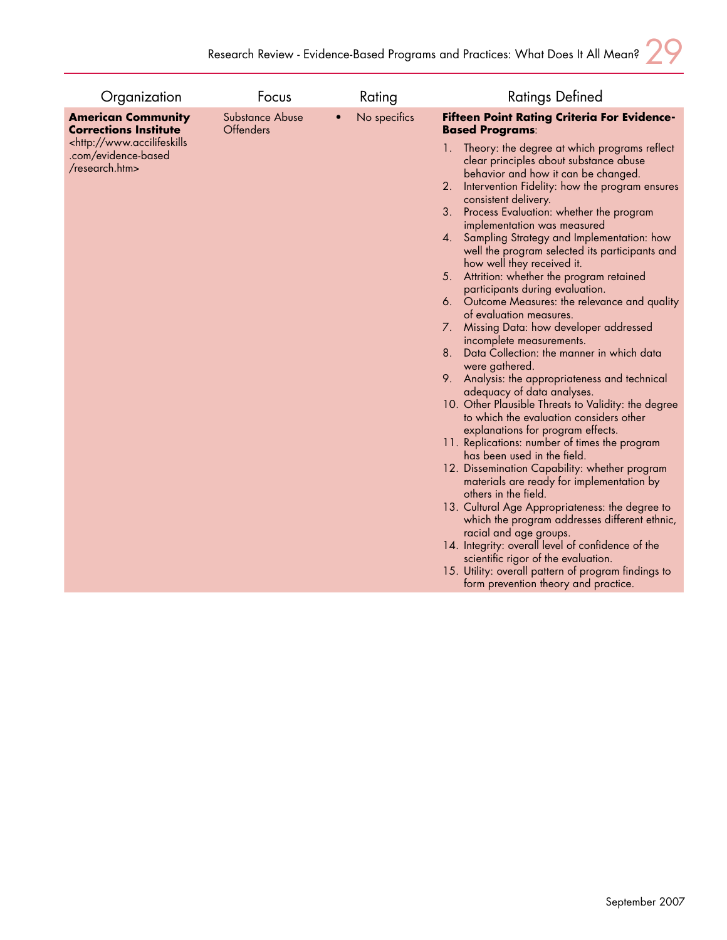| Organization                                                                      | Focus                               | Rating       | <b>Ratings Defined</b>                                                                                                                                                                   |
|-----------------------------------------------------------------------------------|-------------------------------------|--------------|------------------------------------------------------------------------------------------------------------------------------------------------------------------------------------------|
| <b>American Community</b><br><b>Corrections Institute</b>                         | Substance Abuse<br><b>Offenders</b> | No specifics | Fifteen Point Rating Criteria For Evidence-<br><b>Based Programs:</b>                                                                                                                    |
| <http: www.accilifeskills<br="">.com/evidence-based<br/>/research.htm&gt;</http:> |                                     |              | 1. Theory: the degree at which programs reflect<br>clear principles about substance abuse<br>behavior and how it can be changed.<br>2.<br>Intervention Fidelity: how the program ensures |
|                                                                                   |                                     |              | consistent delivery.<br>Process Evaluation: whether the program<br>3.                                                                                                                    |
|                                                                                   |                                     |              | implementation was measured<br>4. Sampling Strategy and Implementation: how<br>well the program selected its participants and<br>how well they received it.                              |
|                                                                                   |                                     |              | 5. Attrition: whether the program retained<br>participants during evaluation.                                                                                                            |
|                                                                                   |                                     |              | 6. Outcome Measures: the relevance and quality                                                                                                                                           |
|                                                                                   |                                     |              | of evaluation measures.<br>7. Missing Data: how developer addressed                                                                                                                      |
|                                                                                   |                                     |              | incomplete measurements.<br>Data Collection: the manner in which data<br>8.                                                                                                              |
|                                                                                   |                                     |              | were gathered.<br>9. Analysis: the appropriateness and technical                                                                                                                         |
|                                                                                   |                                     |              | adequacy of data analyses.                                                                                                                                                               |
|                                                                                   |                                     |              | 10. Other Plausible Threats to Validity: the degree<br>to which the evaluation considers other                                                                                           |
|                                                                                   |                                     |              | explanations for program effects.                                                                                                                                                        |
|                                                                                   |                                     |              | 11. Replications: number of times the program<br>has been used in the field.                                                                                                             |
|                                                                                   |                                     |              | 12. Dissemination Capability: whether program<br>materials are ready for implementation by                                                                                               |
|                                                                                   |                                     |              | others in the field.<br>13. Cultural Age Appropriateness: the degree to<br>which the program addresses different ethnic,                                                                 |
|                                                                                   |                                     |              | racial and age groups.<br>14. Integrity: overall level of confidence of the                                                                                                              |
|                                                                                   |                                     |              | scientific rigor of the evaluation.                                                                                                                                                      |
|                                                                                   |                                     |              | 15. Utility: overall pattern of program findings to<br>form prevention theory and practice.                                                                                              |